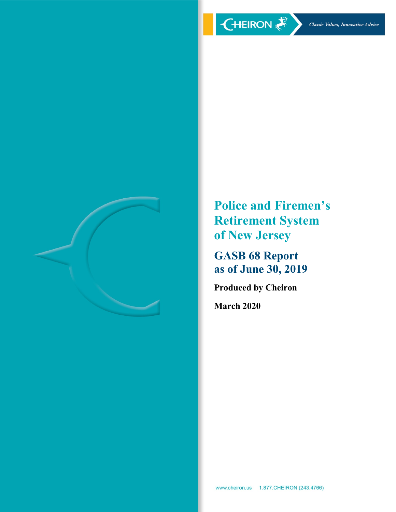

**Police and Firemen's Retirement System of New Jersey**

**GASB 68 Report as of June 30, 2019**

**Produced by Cheiron**

**March 2020**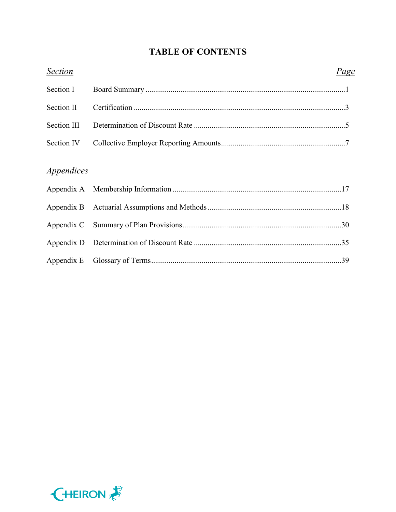# **TABLE OF CONTENTS**

| <b>Section</b>    | Page |  |
|-------------------|------|--|
| Section I         |      |  |
| Section II        |      |  |
| Section III       |      |  |
| Section IV        |      |  |
| <i>Appendices</i> |      |  |
|                   |      |  |
|                   |      |  |
|                   |      |  |
|                   |      |  |
|                   |      |  |
|                   |      |  |

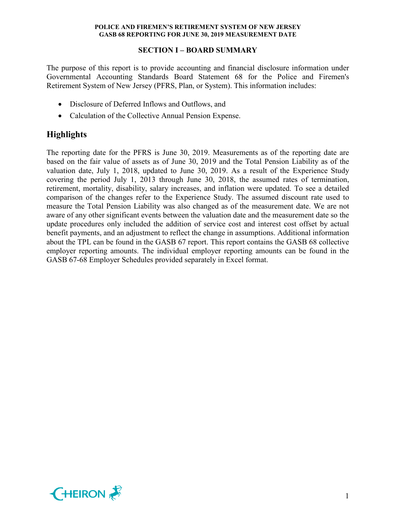# **SECTION I – BOARD SUMMARY**

The purpose of this report is to provide accounting and financial disclosure information under Governmental Accounting Standards Board Statement 68 for the Police and Firemen's Retirement System of New Jersey (PFRS, Plan, or System). This information includes:

- Disclosure of Deferred Inflows and Outflows, and
- Calculation of the Collective Annual Pension Expense.

# **Highlights**

The reporting date for the PFRS is June 30, 2019. Measurements as of the reporting date are based on the fair value of assets as of June 30, 2019 and the Total Pension Liability as of the valuation date, July 1, 2018, updated to June 30, 2019. As a result of the Experience Study covering the period July 1, 2013 through June 30, 2018, the assumed rates of termination, retirement, mortality, disability, salary increases, and inflation were updated. To see a detailed comparison of the changes refer to the Experience Study. The assumed discount rate used to measure the Total Pension Liability was also changed as of the measurement date. We are not aware of any other significant events between the valuation date and the measurement date so the update procedures only included the addition of service cost and interest cost offset by actual benefit payments, and an adjustment to reflect the change in assumptions. Additional information about the TPL can be found in the GASB 67 report. This report contains the GASB 68 collective employer reporting amounts. The individual employer reporting amounts can be found in the GASB 67-68 Employer Schedules provided separately in Excel format.

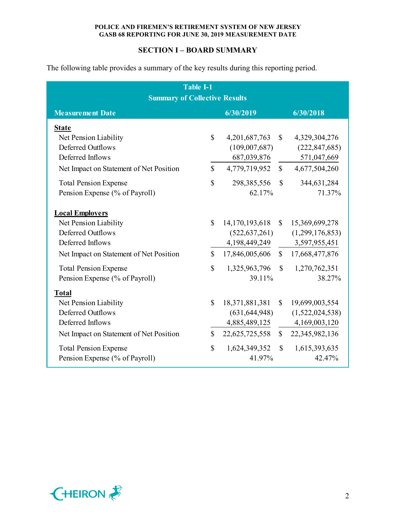# **SECTION I – BOARD SUMMARY**

The following table provides a summary of the key results during this reporting period.

| <b>Table I-1</b>                                  |               |                  |              |                  |  |  |  |  |  |  |  |
|---------------------------------------------------|---------------|------------------|--------------|------------------|--|--|--|--|--|--|--|
| <b>Summary of Collective Results</b>              |               |                  |              |                  |  |  |  |  |  |  |  |
| 6/30/2019<br>6/30/2018<br><b>Measurement Date</b> |               |                  |              |                  |  |  |  |  |  |  |  |
| <b>State</b>                                      |               |                  |              |                  |  |  |  |  |  |  |  |
| Net Pension Liability                             | $\mathbb{S}$  | 4, 201, 687, 763 | $\mathbb{S}$ | 4,329,304,276    |  |  |  |  |  |  |  |
| <b>Deferred Outflows</b>                          |               | (109,007,687)    |              | (222, 847, 685)  |  |  |  |  |  |  |  |
| Deferred Inflows                                  |               | 687,039,876      |              | 571,047,669      |  |  |  |  |  |  |  |
| Net Impact on Statement of Net Position           | $\mathcal{S}$ | 4,779,719,952    | $\mathbb{S}$ | 4,677,504,260    |  |  |  |  |  |  |  |
| <b>Total Pension Expense</b>                      | $\mathbb{S}$  | 298, 385, 556    | $\mathbb{S}$ | 344,631,284      |  |  |  |  |  |  |  |
| Pension Expense (% of Payroll)                    |               | 62.17%           |              | 71.37%           |  |  |  |  |  |  |  |
| <b>Local Employers</b>                            |               |                  |              |                  |  |  |  |  |  |  |  |
| Net Pension Liability                             | $\mathcal{S}$ | 14,170,193,618   |              | \$15,369,699,278 |  |  |  |  |  |  |  |
| <b>Deferred Outflows</b>                          |               | (522, 637, 261)  |              | (1,299,176,853)  |  |  |  |  |  |  |  |
| Deferred Inflows                                  |               | 4,198,449,249    |              | 3,597,955,451    |  |  |  |  |  |  |  |
| Net Impact on Statement of Net Position           | $\mathcal{S}$ | 17,846,005,606   |              | \$17,668,477,876 |  |  |  |  |  |  |  |
| <b>Total Pension Expense</b>                      | $\mathbb{S}$  | 1,325,963,796    | $\mathbb{S}$ | 1,270,762,351    |  |  |  |  |  |  |  |
| Pension Expense (% of Payroll)                    |               | 39.11%           |              | 38.27%           |  |  |  |  |  |  |  |
| <b>Total</b>                                      |               |                  |              |                  |  |  |  |  |  |  |  |
| Net Pension Liability                             | \$            | 18,371,881,381   | $\mathbb{S}$ | 19,699,003,554   |  |  |  |  |  |  |  |
| <b>Deferred Outflows</b>                          |               | (631, 644, 948)  |              | (1,522,024,538)  |  |  |  |  |  |  |  |
| Deferred Inflows                                  |               | 4,885,489,125    |              | 4,169,003,120    |  |  |  |  |  |  |  |
| Net Impact on Statement of Net Position           | $\mathcal{S}$ | 22,625,725,558   |              | \$22,345,982,136 |  |  |  |  |  |  |  |
| <b>Total Pension Expense</b>                      | \$            | 1,624,349,352    | $\mathbb{S}$ | 1,615,393,635    |  |  |  |  |  |  |  |
| Pension Expense (% of Payroll)                    |               | 41.97%           |              | 42.47%           |  |  |  |  |  |  |  |

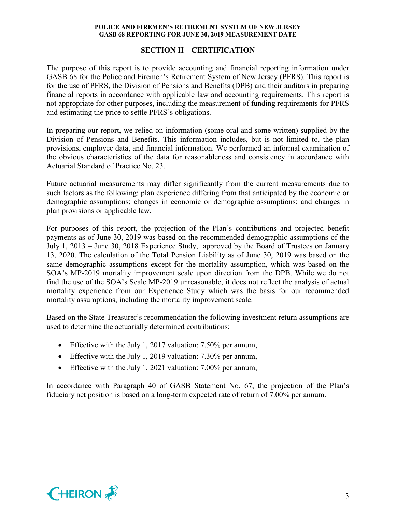# **SECTION II – CERTIFICATION**

The purpose of this report is to provide accounting and financial reporting information under GASB 68 for the Police and Firemen's Retirement System of New Jersey (PFRS). This report is for the use of PFRS, the Division of Pensions and Benefits (DPB) and their auditors in preparing financial reports in accordance with applicable law and accounting requirements. This report is not appropriate for other purposes, including the measurement of funding requirements for PFRS and estimating the price to settle PFRS's obligations.

In preparing our report, we relied on information (some oral and some written) supplied by the Division of Pensions and Benefits. This information includes, but is not limited to, the plan provisions, employee data, and financial information. We performed an informal examination of the obvious characteristics of the data for reasonableness and consistency in accordance with Actuarial Standard of Practice No. 23.

Future actuarial measurements may differ significantly from the current measurements due to such factors as the following: plan experience differing from that anticipated by the economic or demographic assumptions; changes in economic or demographic assumptions; and changes in plan provisions or applicable law.

For purposes of this report, the projection of the Plan's contributions and projected benefit payments as of June 30, 2019 was based on the recommended demographic assumptions of the July 1, 2013 – June 30, 2018 Experience Study, approved by the Board of Trustees on January 13, 2020. The calculation of the Total Pension Liability as of June 30, 2019 was based on the same demographic assumptions except for the mortality assumption, which was based on the SOA's MP-2019 mortality improvement scale upon direction from the DPB. While we do not find the use of the SOA's Scale MP-2019 unreasonable, it does not reflect the analysis of actual mortality experience from our Experience Study which was the basis for our recommended mortality assumptions, including the mortality improvement scale.

Based on the State Treasurer's recommendation the following investment return assumptions are used to determine the actuarially determined contributions:

- Effective with the July 1, 2017 valuation: 7.50% per annum,
- Effective with the July 1, 2019 valuation: 7.30% per annum,
- Effective with the July 1, 2021 valuation: 7.00% per annum,

In accordance with Paragraph 40 of GASB Statement No. 67, the projection of the Plan's fiduciary net position is based on a long-term expected rate of return of 7.00% per annum.

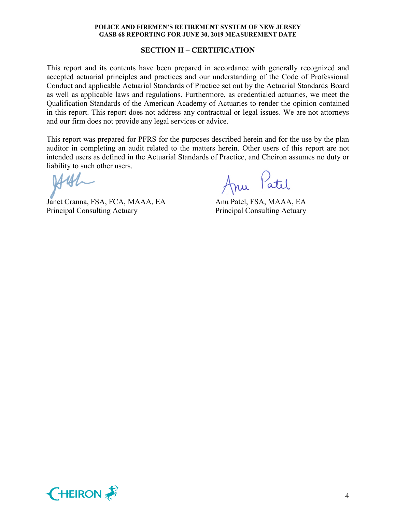#### **SECTION II – CERTIFICATION**

This report and its contents have been prepared in accordance with generally recognized and accepted actuarial principles and practices and our understanding of the Code of Professional Conduct and applicable Actuarial Standards of Practice set out by the Actuarial Standards Board as well as applicable laws and regulations. Furthermore, as credentialed actuaries, we meet the Qualification Standards of the American Academy of Actuaries to render the opinion contained in this report. This report does not address any contractual or legal issues. We are not attorneys and our firm does not provide any legal services or advice.

This report was prepared for PFRS for the purposes described herein and for the use by the plan auditor in completing an audit related to the matters herein. Other users of this report are not intended users as defined in the Actuarial Standards of Practice, and Cheiron assumes no duty or liability to such other users.

Janet Cranna, FSA, FCA, MAAA, EA Anu Patel, FSA, MAAA, EA Principal Consulting Actuary Principal Consulting Actuary

Anu Patil

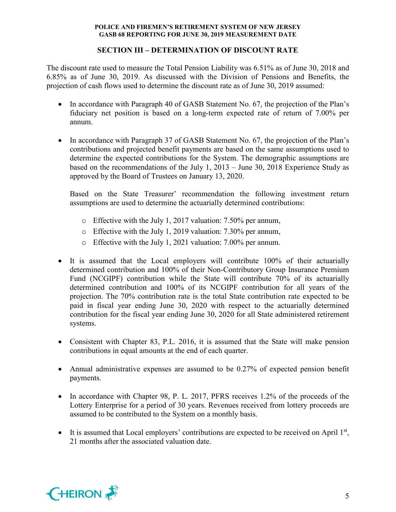# **SECTION III – DETERMINATION OF DISCOUNT RATE**

The discount rate used to measure the Total Pension Liability was 6.51% as of June 30, 2018 and 6.85% as of June 30, 2019. As discussed with the Division of Pensions and Benefits, the projection of cash flows used to determine the discount rate as of June 30, 2019 assumed:

- In accordance with Paragraph 40 of GASB Statement No. 67, the projection of the Plan's fiduciary net position is based on a long-term expected rate of return of 7.00% per annum.
- In accordance with Paragraph 37 of GASB Statement No. 67, the projection of the Plan's contributions and projected benefit payments are based on the same assumptions used to determine the expected contributions for the System. The demographic assumptions are based on the recommendations of the July 1, 2013 – June 30, 2018 Experience Study as approved by the Board of Trustees on January 13, 2020.

Based on the State Treasurer' recommendation the following investment return assumptions are used to determine the actuarially determined contributions:

- o Effective with the July 1, 2017 valuation: 7.50% per annum,
- o Effective with the July 1, 2019 valuation: 7.30% per annum,
- o Effective with the July 1, 2021 valuation: 7.00% per annum.
- It is assumed that the Local employers will contribute 100% of their actuarially determined contribution and 100% of their Non-Contributory Group Insurance Premium Fund (NCGIPF) contribution while the State will contribute 70% of its actuarially determined contribution and 100% of its NCGIPF contribution for all years of the projection. The 70% contribution rate is the total State contribution rate expected to be paid in fiscal year ending June 30, 2020 with respect to the actuarially determined contribution for the fiscal year ending June 30, 2020 for all State administered retirement systems.
- Consistent with Chapter 83, P.L. 2016, it is assumed that the State will make pension contributions in equal amounts at the end of each quarter.
- Annual administrative expenses are assumed to be 0.27% of expected pension benefit payments.
- In accordance with Chapter 98, P. L. 2017, PFRS receives 1.2% of the proceeds of the Lottery Enterprise for a period of 30 years. Revenues received from lottery proceeds are assumed to be contributed to the System on a monthly basis.
- It is assumed that Local employers' contributions are expected to be received on April  $1<sup>st</sup>$ , 21 months after the associated valuation date.

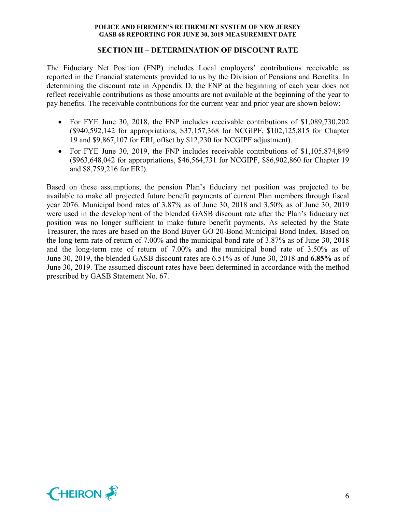#### **SECTION III – DETERMINATION OF DISCOUNT RATE**

The Fiduciary Net Position (FNP) includes Local employers' contributions receivable as reported in the financial statements provided to us by the Division of Pensions and Benefits. In determining the discount rate in Appendix D, the FNP at the beginning of each year does not reflect receivable contributions as those amounts are not available at the beginning of the year to pay benefits. The receivable contributions for the current year and prior year are shown below:

- For FYE June 30, 2018, the FNP includes receivable contributions of \$1,089,730,202 (\$940,592,142 for appropriations, \$37,157,368 for NCGIPF, \$102,125,815 for Chapter 19 and \$9,867,107 for ERI, offset by \$12,230 for NCGIPF adjustment).
- For FYE June 30, 2019, the FNP includes receivable contributions of \$1,105,874,849 (\$963,648,042 for appropriations, \$46,564,731 for NCGIPF, \$86,902,860 for Chapter 19 and \$8,759,216 for ERI).

Based on these assumptions, the pension Plan's fiduciary net position was projected to be available to make all projected future benefit payments of current Plan members through fiscal year 2076. Municipal bond rates of 3.87% as of June 30, 2018 and 3.50% as of June 30, 2019 were used in the development of the blended GASB discount rate after the Plan's fiduciary net position was no longer sufficient to make future benefit payments. As selected by the State Treasurer, the rates are based on the Bond Buyer GO 20-Bond Municipal Bond Index. Based on the long-term rate of return of 7.00% and the municipal bond rate of 3.87% as of June 30, 2018 and the long-term rate of return of 7.00% and the municipal bond rate of 3.50% as of June 30, 2019, the blended GASB discount rates are 6.51% as of June 30, 2018 and **6.85%** as of June 30, 2019. The assumed discount rates have been determined in accordance with the method prescribed by GASB Statement No. 67.

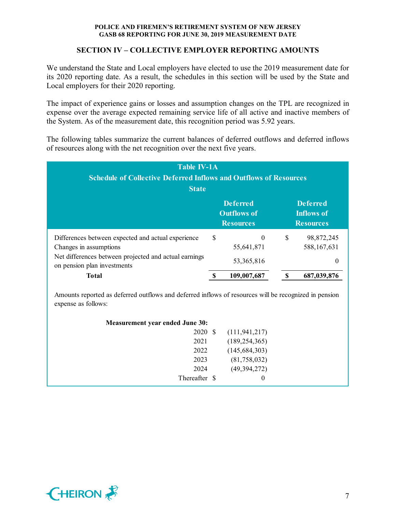# **SECTION IV – COLLECTIVE EMPLOYER REPORTING AMOUNTS**

We understand the State and Local employers have elected to use the 2019 measurement date for its 2020 reporting date. As a result, the schedules in this section will be used by the State and Local employers for their 2020 reporting.

The impact of experience gains or losses and assumption changes on the TPL are recognized in expense over the average expected remaining service life of all active and inactive members of the System. As of the measurement date, this recognition period was 5.92 years.

The following tables summarize the current balances of deferred outflows and deferred inflows of resources along with the net recognition over the next five years.

| <b>Table IV-1A</b><br><b>Schedule of Collective Deferred Inflows and Outflows of Resources</b><br><b>State</b>                                                       |   |                                                           |   |                                                          |  |  |  |  |
|----------------------------------------------------------------------------------------------------------------------------------------------------------------------|---|-----------------------------------------------------------|---|----------------------------------------------------------|--|--|--|--|
|                                                                                                                                                                      |   | <b>Deferred</b><br><b>Outflows of</b><br><b>Resources</b> |   | <b>Deferred</b><br><b>Inflows of</b><br><b>Resources</b> |  |  |  |  |
| Differences between expected and actual experience<br>Changes in assumptions<br>Net differences between projected and actual earnings<br>on pension plan investments | S | $\theta$<br>55,641,871<br>53, 365, 816                    | S | 98,872,245<br>588, 167, 631<br>0                         |  |  |  |  |
| Total                                                                                                                                                                |   | 109,007,687                                               |   | 687,039,876                                              |  |  |  |  |

Amounts reported as deferred outflows and deferred inflows of resources will be recognized in pension expense as follows:

| <b>Measurement year ended June 30:</b> |                 |  |
|----------------------------------------|-----------------|--|
| 2020 \$                                | (111, 941, 217) |  |
| 2021                                   | (189, 254, 365) |  |
| 2022                                   | (145, 684, 303) |  |
| 2023                                   | (81,758,032)    |  |
| 2024                                   | (49, 394, 272)  |  |
| Thereafter \$                          | 0               |  |

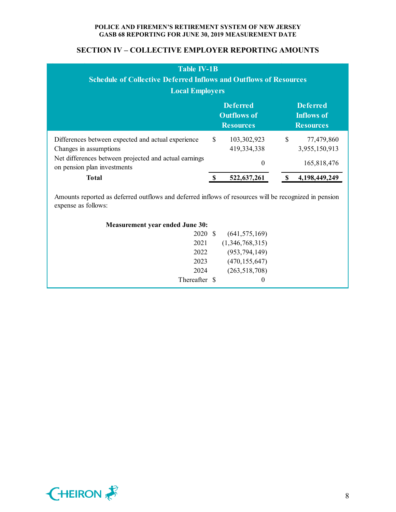| <b>Table IV-1B</b><br><b>Schedule of Collective Deferred Inflows and Outflows of Resources</b><br><b>Local Employers</b>                                             |                                                           |                                        |                                                          |                                            |  |  |  |  |
|----------------------------------------------------------------------------------------------------------------------------------------------------------------------|-----------------------------------------------------------|----------------------------------------|----------------------------------------------------------|--------------------------------------------|--|--|--|--|
|                                                                                                                                                                      | <b>Deferred</b><br><b>Outflows of</b><br><b>Resources</b> |                                        | <b>Deferred</b><br><b>Inflows of</b><br><b>Resources</b> |                                            |  |  |  |  |
| Differences between expected and actual experience<br>Changes in assumptions<br>Net differences between projected and actual earnings<br>on pension plan investments | <sup>\$</sup>                                             | 103,302,923<br>419,334,338<br>$\theta$ | $\mathbb{S}$                                             | 77,479,860<br>3,955,150,913<br>165,818,476 |  |  |  |  |
| <b>Total</b>                                                                                                                                                         |                                                           | 522,637,261                            |                                                          | 4,198,449,249                              |  |  |  |  |
| Amounts reported as deferred outflows and deferred inflows of resources will be recognized in pension<br>expense as follows:                                         |                                                           |                                        |                                                          |                                            |  |  |  |  |

| Measurement year ended June 30: |                 |
|---------------------------------|-----------------|
| 2020<br>- \$                    | (641, 575, 169) |
| 2021                            | (1,346,768,315) |
| 2022                            | (953, 794, 149) |
| 2023                            | (470, 155, 647) |
| 2024                            | (263, 518, 708) |
| Thereafter \$                   | $\bf{0}$        |

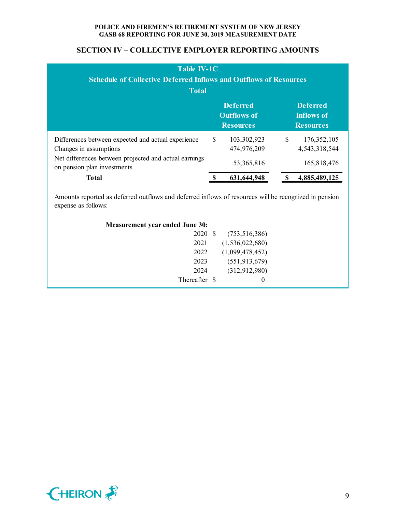# **SECTION IV – COLLECTIVE EMPLOYER REPORTING AMOUNTS**

| <b>Table IV-1C</b><br><b>Schedule of Collective Deferred Inflows and Outflows of Resources</b><br><b>Total</b>                                                       |    |                                                           |                                                          |                                               |  |  |  |
|----------------------------------------------------------------------------------------------------------------------------------------------------------------------|----|-----------------------------------------------------------|----------------------------------------------------------|-----------------------------------------------|--|--|--|
|                                                                                                                                                                      |    | <b>Deferred</b><br><b>Outflows of</b><br><b>Resources</b> | <b>Deferred</b><br><b>Inflows of</b><br><b>Resources</b> |                                               |  |  |  |
| Differences between expected and actual experience<br>Changes in assumptions<br>Net differences between projected and actual earnings<br>on pension plan investments | \$ | 103,302,923<br>474,976,209<br>53, 365, 816                | \$                                                       | 176, 352, 105<br>4,543,318,544<br>165,818,476 |  |  |  |
| <b>Total</b>                                                                                                                                                         |    | 631,644,948                                               |                                                          | 4,885,489,125                                 |  |  |  |

Amounts reported as deferred outflows and deferred inflows of resources will be recognized in pension expense as follows:

| <b>Measurement year ended June 30:</b> |                 |  |
|----------------------------------------|-----------------|--|
| 2020 \$                                | (753, 516, 386) |  |
| 2021                                   | (1,536,022,680) |  |
| 2022                                   | (1,099,478,452) |  |
| 2023                                   | (551, 913, 679) |  |
| 2024                                   | (312, 912, 980) |  |
| Thereafter \$                          | $\theta$        |  |

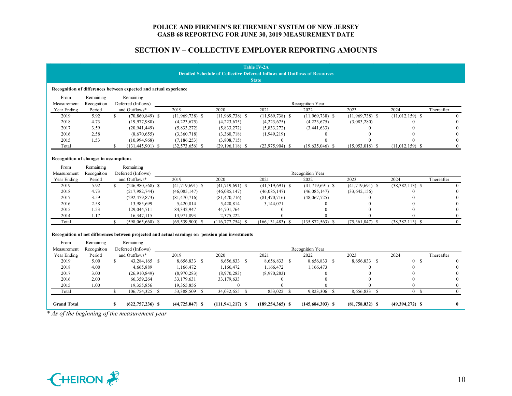|                                                                                   |             |     |                                               |                                                                                                  |                      | <b>Table IV-2A</b>   |                    |                   |                     |                |
|-----------------------------------------------------------------------------------|-------------|-----|-----------------------------------------------|--------------------------------------------------------------------------------------------------|----------------------|----------------------|--------------------|-------------------|---------------------|----------------|
| <b>Detailed Schedule of Collective Deferred Inflows and Outflows of Resources</b> |             |     |                                               |                                                                                                  |                      |                      |                    |                   |                     |                |
|                                                                                   |             |     |                                               |                                                                                                  |                      | <b>State</b>         |                    |                   |                     |                |
| Recognition of differences between expected and actual experience                 |             |     |                                               |                                                                                                  |                      |                      |                    |                   |                     |                |
| From                                                                              | Remaining   |     | Remaining                                     |                                                                                                  |                      |                      |                    |                   |                     |                |
| Measurement                                                                       | Recognition |     | Deferred (Inflows)                            |                                                                                                  |                      |                      | Recognition Year   |                   |                     |                |
| Year Ending                                                                       | Period      |     | and Outflows*                                 | 2019                                                                                             | 2020                 | 2021                 | 2022               | 2023              | 2024                | Thereafter     |
| 2019                                                                              | 5.92        | \$  | $(70,860,849)$ \$                             | $(11,969,738)$ \$                                                                                | $(11,969,738)$ \$    | $(11,969,738)$ \$    | $(11,969,738)$ \$  | $(11,969,738)$ \$ | $(11,012,159)$ \$   | $\theta$       |
| 2018                                                                              | 4.73        |     | (19, 977, 980)                                | (4,223,675)                                                                                      | (4,223,675)          | (4,223,675)          | (4,223,675)        | (3,083,280)       | $\Omega$            |                |
| 2017                                                                              | 3.59        |     | (20, 941, 449)                                | (5,833,272)                                                                                      | (5,833,272)          | (5,833,272)          | (3,441,633)        | 0                 |                     |                |
| 2016                                                                              | 2.58        |     | (8,670,655)                                   | (3,360,718)                                                                                      | (3,360,718)          | (1,949,219)          | $\Omega$           |                   |                     | $\Omega$       |
| 2015                                                                              | 1.53        |     | (10,994,968)                                  | (7, 186, 253)                                                                                    | (3,808,715)          | $\Omega$             |                    |                   |                     | $\Omega$       |
| Total                                                                             |             | S.  | $(131, 445, 901)$ \$                          | $(32,573,656)$ \$                                                                                | $(29, 196, 118)$ \$  | $(23,975,904)$ \$    | $(19,635,046)$ \$  | $(15,053,018)$ \$ | $(11,012,159)$ \$   | $\overline{0}$ |
|                                                                                   |             |     |                                               |                                                                                                  |                      |                      |                    |                   |                     |                |
| Recognition of changes in assumptions                                             |             |     |                                               |                                                                                                  |                      |                      |                    |                   |                     |                |
| From                                                                              | Remaining   |     | Remaining                                     |                                                                                                  |                      |                      |                    |                   |                     |                |
| Measurement                                                                       | Recognition |     | Deferred (Inflows)                            |                                                                                                  |                      |                      | Recognition Year   |                   |                     |                |
| Year Ending                                                                       | Period      |     | and Outflows*                                 | 2019                                                                                             | 2020                 | 2021                 | 2022               | 2023              | 2024                | Thereafter     |
| 2019                                                                              | 5.92        | \$  | $(246,980,568)$ \$                            | $(41,719,691)$ \$                                                                                | $(41,719,691)$ \$    | $(41,719,691)$ \$    | $(41,719,691)$ \$  | $(41,719,691)$ \$ | $(38,382,113)$ \$   | $\Omega$       |
| 2018                                                                              | 4.73        |     | (217, 982, 744)                               | (46,085,147)                                                                                     | (46,085,147)         | (46,085,147)         | (46,085,147)       | (33, 642, 156)    |                     | $\theta$       |
| 2017                                                                              | 3.59        |     | (292, 479, 873)                               | (81, 470, 716)                                                                                   | (81, 470, 716)       | (81, 470, 716)       | (48,067,725)       | O                 |                     |                |
| 2016                                                                              | 2.58        |     | 13,985,699                                    | 5,420,814                                                                                        | 5,420,814            | 3,144,071            |                    |                   |                     |                |
| 2015                                                                              | 1.53        |     | 129,044,711                                   | 84, 342, 947                                                                                     | 44,701,764           | $\theta$             |                    |                   |                     |                |
| 2014                                                                              | 1.17        |     | 16,347,115                                    | 13,971,893                                                                                       | 2,375,222            | $\theta$             |                    |                   | $\Omega$            | $\overline{0}$ |
| Total                                                                             |             | \$. | $(598,065,660)$ \$                            | $(65,539,900)$ \$                                                                                | $(116, 777, 754)$ \$ | $(166, 131, 483)$ \$ | $(135,872,563)$ \$ | $(75,361,847)$ \$ | $(38, 382, 113)$ \$ | $\Omega$       |
|                                                                                   |             |     |                                               |                                                                                                  |                      |                      |                    |                   |                     |                |
|                                                                                   |             |     |                                               | Recognition of net differences between projected and actual earnings on pension plan investments |                      |                      |                    |                   |                     |                |
| From                                                                              | Remaining   |     | Remaining                                     |                                                                                                  |                      |                      |                    |                   |                     |                |
| Measurement                                                                       | Recognition |     | Deferred (Inflows)                            |                                                                                                  |                      |                      | Recognition Year   |                   |                     |                |
| Year Ending                                                                       | Period      |     | and Outflows*                                 | 2019                                                                                             | 2020                 | 2021                 | 2022               | 2023              | 2024                | Thereafter     |
| 2019                                                                              | 5.00        | \$  | 43,284,165 \$                                 | 8,656,833 \$                                                                                     | 8,656,833 \$         | 8,656,833 \$         | 8,656,833 \$       | 8,656,833 \$      | 0 S                 | $\Omega$       |
| 2018                                                                              | 4.00        |     | 4,665,889                                     | 1,166,472                                                                                        | 1,166,472            | 1,166,472            | 1,166,473          |                   |                     | 0              |
| 2017                                                                              | 3.00        |     | (26,910,849)                                  | (8,970,283)                                                                                      | (8,970,283)          | (8,970,283)          | $\Omega$           |                   |                     |                |
| 2016                                                                              | 2.00        |     | 66,359,264                                    | 33,179,631                                                                                       | 33,179,633           | $\Omega$             | $\Omega$           |                   | $\Omega$            | 0              |
| 2015                                                                              | 1.00        |     | 19,355,856                                    | 19,355,856                                                                                       | $\mathbf{0}$         |                      |                    |                   | $\theta$            | $\theta$       |
| Total                                                                             |             | S.  | 106,754,325 \$                                | 53,388,509 \$                                                                                    | 34,032,655 \$        | 853,022 \$           | 9,823,306 \$       | 8,656,833 \$      | 0 S                 | $\overline{0}$ |
| <b>Grand Total</b>                                                                |             | S   | $(622, 757, 236)$ \$                          | $(44, 725, 047)$ \$                                                                              | $(111, 941, 217)$ \$ | $(189, 254, 365)$ \$ | $(145,684,303)$ \$ | $(81,758,032)$ \$ | $(49,394,272)$ \$   | $\bf{0}$       |
|                                                                                   |             |     | * As of the beginning of the measurement year |                                                                                                  |                      |                      |                    |                   |                     |                |

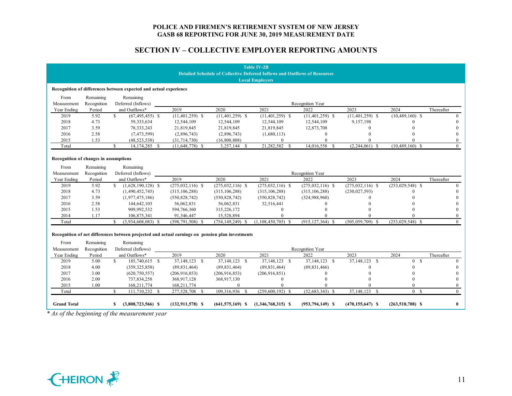|                                                                                   |                                                                   |                                                                                                  |                      |                      | <b>Table IV-2B</b>      |                      |                      |                      |                |  |  |
|-----------------------------------------------------------------------------------|-------------------------------------------------------------------|--------------------------------------------------------------------------------------------------|----------------------|----------------------|-------------------------|----------------------|----------------------|----------------------|----------------|--|--|
| <b>Detailed Schedule of Collective Deferred Inflows and Outflows of Resources</b> |                                                                   |                                                                                                  |                      |                      |                         |                      |                      |                      |                |  |  |
| <b>Local Employers</b>                                                            |                                                                   |                                                                                                  |                      |                      |                         |                      |                      |                      |                |  |  |
|                                                                                   | Recognition of differences between expected and actual experience |                                                                                                  |                      |                      |                         |                      |                      |                      |                |  |  |
| From                                                                              | Remaining                                                         | Remaining                                                                                        |                      |                      |                         |                      |                      |                      |                |  |  |
| Measurement                                                                       | Recognition                                                       | Deferred (Inflows)                                                                               |                      |                      |                         | Recognition Year     |                      |                      |                |  |  |
| Year Ending                                                                       | Period                                                            | and Outflows*                                                                                    | 2019                 | 2020                 | 2021                    | 2022                 | 2023                 | 2024                 | Thereafter     |  |  |
| 2019                                                                              | 5.92                                                              | \$<br>$(67, 495, 455)$ \$                                                                        | $(11, 401, 259)$ \$  | $(11, 401, 259)$ \$  | $(11, 401, 259)$ \$     | $(11, 401, 259)$ \$  | $(11, 401, 259)$ \$  | $(10, 489, 160)$ \$  | $\Omega$       |  |  |
| 2018                                                                              | 4.73                                                              | 59,333,634                                                                                       | 12,544,109           | 12,544,109           | 12,544,109              | 12,544,109           | 9,157,198            |                      |                |  |  |
| 2017                                                                              | 3.59                                                              | 78, 333, 243                                                                                     | 21,819,845           | 21,819,845           | 21,819,845              | 12,873,708           | $\Omega$             |                      |                |  |  |
| 2016                                                                              | 2.58                                                              | (7, 473, 599)                                                                                    | (2,896,743)          | (2,896,743)          | (1,680,113)             | $\Omega$             |                      |                      | 0              |  |  |
| 2015                                                                              | 1.53                                                              | (48, 523, 538)                                                                                   | (31,714,730)         | (16, 808, 808)       | $\theta$                |                      |                      |                      | $\overline{0}$ |  |  |
| Total                                                                             |                                                                   | \$.<br>14,174,285 \$                                                                             | $(11,648,778)$ \$    | $3,257,144$ \$       | 21,282,582 \$           | 14,016,558 \$        | $(2,244,061)$ \$     | $(10, 489, 160)$ \$  | $\overline{0}$ |  |  |
|                                                                                   |                                                                   |                                                                                                  |                      |                      |                         |                      |                      |                      |                |  |  |
| Recognition of changes in assumptions                                             |                                                                   |                                                                                                  |                      |                      |                         |                      |                      |                      |                |  |  |
| From                                                                              | Remaining                                                         | Remaining                                                                                        |                      |                      |                         |                      |                      |                      |                |  |  |
| Measurement                                                                       | Recognition                                                       | Deferred (Inflows)                                                                               |                      |                      |                         | Recognition Year     |                      |                      |                |  |  |
| Year Ending                                                                       | Period                                                            | and Outflows*                                                                                    | 2019                 | 2020                 | 2021                    | 2022                 | 2023                 | 2024                 | Thereafter     |  |  |
| 2019                                                                              | 5.92                                                              | $\mathbb{S}$<br>$(1,628,190,128)$ \$                                                             | $(275, 032, 116)$ \$ | $(275,032,116)$ \$   | $(275,032,116)$ \$      | $(275, 032, 116)$ \$ | $(275,032,116)$ \$   | $(253,029,548)$ \$   | $\Omega$       |  |  |
| 2018                                                                              | 4.73                                                              | (1,490,452,745)                                                                                  | (315, 106, 288)      | (315, 106, 288)      | (315, 106, 288)         | (315, 106, 288)      | (230, 027, 593)      |                      | 0              |  |  |
| 2017                                                                              | 3.59                                                              | (1,977,475,186)                                                                                  | (550, 828, 742)      | (550, 828, 742)      | (550, 828, 742)         | (324, 988, 960)      | $\Omega$             |                      |                |  |  |
| 2016                                                                              | 2.58                                                              | 144,642,103                                                                                      | 56,062,831           | 56,062,831           | 32,516,441              |                      |                      |                      |                |  |  |
| 2015                                                                              | 1.53                                                              | 909,992,532                                                                                      | 594,766,360          | 315,226,172          | $\theta$                |                      |                      |                      |                |  |  |
| 2014                                                                              | 1.17                                                              | 106,875,341                                                                                      | 91,346,447           | 15,528,894           | $\Omega$                |                      |                      | $\Omega$             |                |  |  |
| Total                                                                             |                                                                   | \$<br>$(3,934,608,083)$ \$                                                                       | $(398, 791, 508)$ \$ | $(754, 149, 249)$ \$ | $(1, 108, 450, 705)$ \$ | $(915, 127, 364)$ \$ | $(505, 059, 709)$ \$ | $(253,029,548)$ \$   | $\Omega$       |  |  |
|                                                                                   |                                                                   | Recognition of net differences between projected and actual earnings on pension plan investments |                      |                      |                         |                      |                      |                      |                |  |  |
| From                                                                              | Remaining                                                         | Remaining                                                                                        |                      |                      |                         |                      |                      |                      |                |  |  |
| Measurement                                                                       | Recognition                                                       | Deferred (Inflows)                                                                               |                      |                      |                         | Recognition Year     |                      |                      |                |  |  |
| Year Ending                                                                       | Period                                                            | and Outflows*                                                                                    | 2019                 | 2020                 | 2021                    | 2022                 | 2023                 | 2024                 | Thereafter     |  |  |
| 2019                                                                              | 5.00                                                              | S.<br>185,740,615 \$                                                                             | 37, 148, 123 \$      | 37, 148, 123 \$      | 37, 148, 123 \$         | 37, 148, 123 \$      | 37, 148, 123 \$      | 0 S                  | $\Omega$       |  |  |
| 2018                                                                              | 4.00                                                              | (359, 325, 858)                                                                                  | (89, 831, 464)       | (89, 831, 464)       | (89, 831, 464)          | (89, 831, 466)       |                      |                      | 0              |  |  |
| 2017                                                                              | 3.00                                                              | (620, 750, 557)                                                                                  | (206, 916, 853)      | (206, 916, 853)      | (206, 916, 851)         |                      |                      |                      |                |  |  |
| 2016                                                                              | 2.00                                                              | 737,834,258                                                                                      | 368,917,128          | 368,917,130          | $\theta$                |                      |                      |                      | 0              |  |  |
| 2015                                                                              | 1.00                                                              | 168,211,774                                                                                      | 168,211,774          | $\mathbf{0}$         |                         |                      |                      | $\Omega$             | $\overline{0}$ |  |  |
| Total                                                                             |                                                                   | 111,710,232 \$<br>S.                                                                             | 277,528,708 \$       | 109,316,936 \$       | $(259,600,192)$ \$      | $(52,683,343)$ \$    | 37, 148, 123 \$      | 0 S                  | $\Omega$       |  |  |
| <b>Grand Total</b>                                                                |                                                                   | $(3,808,723,566)$ \$<br>S                                                                        | $(132, 911, 578)$ \$ | $(641, 575, 169)$ \$ | $(1,346,768,315)$ \$    | $(953, 794, 149)$ \$ | $(470, 155, 647)$ \$ | $(263, 518, 708)$ \$ | $\bf{0}$       |  |  |
|                                                                                   |                                                                   | * As of the beginning of the measurement year                                                    |                      |                      |                         |                      |                      |                      |                |  |  |

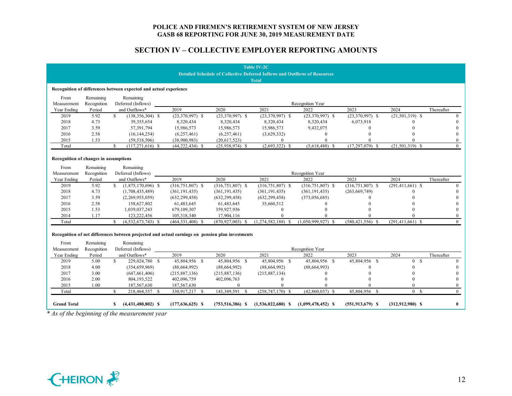|                                                                                   |             |                                                                                                  |                      |                      | <b>Table IV-2C</b>   |                      |                      |                      |              |  |
|-----------------------------------------------------------------------------------|-------------|--------------------------------------------------------------------------------------------------|----------------------|----------------------|----------------------|----------------------|----------------------|----------------------|--------------|--|
| <b>Detailed Schedule of Collective Deferred Inflows and Outflows of Resources</b> |             |                                                                                                  |                      |                      |                      |                      |                      |                      |              |  |
|                                                                                   |             |                                                                                                  |                      |                      | <b>Total</b>         |                      |                      |                      |              |  |
|                                                                                   |             | Recognition of differences between expected and actual experience                                |                      |                      |                      |                      |                      |                      |              |  |
| From                                                                              | Remaining   | Remaining                                                                                        |                      |                      |                      |                      |                      |                      |              |  |
| Measurement                                                                       | Recognition | Deferred (Inflows)                                                                               |                      |                      |                      | Recognition Year     |                      |                      |              |  |
| Year Ending                                                                       | Period      | and Outflows*                                                                                    | 2019                 | 2020                 | 2021                 | 2022                 | 2023                 | 2024                 | Thereafter   |  |
| 2019                                                                              | 5.92        | \$.<br>$(138, 356, 304)$ \$                                                                      | $(23,370,997)$ \$    | $(23,370,997)$ \$    | $(23,370,997)$ \$    | $(23,370,997)$ \$    | $(23,370,997)$ \$    | $(21,501,319)$ \$    | 0            |  |
| 2018                                                                              | 4.73        | 39,355,654                                                                                       | 8,320,434            | 8,320,434            | 8,320,434            | 8,320,434            | 6,073,918            | $\Omega$             |              |  |
| 2017                                                                              | 3.59        | 57,391,794                                                                                       | 15,986,573           | 15,986,573           | 15,986,573           | 9,432,075            | $\Omega$             |                      |              |  |
| 2016                                                                              | 2.58        | (16, 144, 254)                                                                                   | (6,257,461)          | (6,257,461)          | (3,629,332)          | 0                    |                      |                      |              |  |
| 2015                                                                              | 1.53        | (59, 518, 506)                                                                                   | (38,900,983)         | (20, 617, 523)       | $\Omega$             | 0                    | $\Omega$             | $\Omega$             |              |  |
| Total                                                                             |             | \$<br>$(117, 271, 616)$ \$                                                                       | $(44, 222, 434)$ \$  | $(25,938,974)$ \$    | $(2,693,322)$ \$     | $(5,618,488)$ \$     | $(17, 297, 079)$ \$  | $(21,501,319)$ \$    | $\Omega$     |  |
| Recognition of changes in assumptions                                             |             |                                                                                                  |                      |                      |                      |                      |                      |                      |              |  |
| From                                                                              | Remaining   | Remaining                                                                                        |                      |                      |                      |                      |                      |                      |              |  |
| Measurement                                                                       | Recognition | Deferred (Inflows)                                                                               |                      |                      |                      | Recognition Year     |                      |                      |              |  |
| Year Ending                                                                       | Period      | and Outflows*                                                                                    | 2019                 | 2020                 | 2021                 | 2022                 | 2023                 | 2024                 | Thereafter   |  |
| 2019                                                                              | 5.92        | \$<br>$(1,875,170,696)$ \$                                                                       | $(316, 751, 807)$ \$ | $(316, 751, 807)$ \$ | $(316, 751, 807)$ \$ | $(316, 751, 807)$ \$ | $(316, 751, 807)$ \$ | $(291, 411, 661)$ \$ | $\Omega$     |  |
| 2018                                                                              | 4.73        | (1,708,435,489)                                                                                  | (361, 191, 435)      | (361, 191, 435)      | (361, 191, 435)      | (361, 191, 435)      | (263, 669, 749)      |                      |              |  |
| 2017                                                                              | 3.59        | (2,269,955,059)                                                                                  | (632, 299, 458)      | (632, 299, 458)      | (632, 299, 458)      | (373,056,685)        |                      |                      |              |  |
| 2016                                                                              | 2.58        | 158,627,802                                                                                      | 61,483,645           | 61,483,645           | 35,660,512           |                      |                      |                      |              |  |
| 2015                                                                              | 1.53        | 1,039,037,243                                                                                    | 679,109,307          | 359,927,936          | $\Omega$             |                      |                      |                      |              |  |
| 2014                                                                              | 1.17        | 123,222,456                                                                                      | 105,318,340          | 17,904,116           |                      |                      |                      |                      | 0            |  |
| Total                                                                             |             | \$<br>$(4,532,673,743)$ \$                                                                       | $(464, 331, 408)$ \$ | $(870, 927, 003)$ \$ | $(1,274,582,188)$ \$ | $(1,050,999,927)$ \$ | $(580.421.556)$ \$   | $(291, 411, 661)$ \$ | $\mathbf{0}$ |  |
|                                                                                   |             |                                                                                                  |                      |                      |                      |                      |                      |                      |              |  |
|                                                                                   |             | Recognition of net differences between projected and actual earnings on pension plan investments |                      |                      |                      |                      |                      |                      |              |  |
| From                                                                              | Remaining   | Remaining                                                                                        |                      |                      |                      |                      |                      |                      |              |  |
| Measurement                                                                       | Recognition | Deferred (Inflows)                                                                               |                      |                      |                      | Recognition Year     |                      |                      |              |  |
| Year Ending                                                                       | Period      | and Outflows*                                                                                    | 2019                 | 2020                 | 2021                 | 2022                 | 2023                 | 2024                 | Thereafter   |  |
| 2019                                                                              | 5.00        | \$<br>229,024,780 \$                                                                             | 45,804,956 \$        | 45,804,956 \$        | 45,804,956 \$        | 45,804,956 \$        | 45,804,956 \$        | 0 S                  | $\Omega$     |  |
| 2018                                                                              | 4.00        | (354, 659, 969)                                                                                  | (88, 664, 992)       | (88, 664, 992)       | (88, 664, 992)       | (88, 664, 993)       | $\Omega$             | $\theta$             |              |  |
| 2017                                                                              | 3.00        | (647, 661, 406)                                                                                  | (215, 887, 136)      | (215,887,136)        | (215, 887, 134)      | 0                    |                      | $\Omega$             |              |  |
| 2016                                                                              | 2.00        | 804,193,522                                                                                      | 402,096,759          | 402,096,763          | $\Omega$             | $\Omega$             |                      | $\Omega$             |              |  |
| 2015                                                                              | 1.00        | 187,567,630                                                                                      | 187,567,630          | $\mathbf{0}$         |                      |                      |                      | $\Omega$             | $\Omega$     |  |
| Total                                                                             |             | \$.<br>218,464,557 \$                                                                            | 330,917,217 \$       | 143,349,591 \$       | $(258, 747, 170)$ \$ | $(42,860,037)$ \$    | $45,804,956$ \$      | 0 S                  | $\Omega$     |  |
| <b>Grand Total</b>                                                                |             | $(4,431,480,802)$ \$<br>S.                                                                       | $(177, 636, 625)$ \$ | $(753, 516, 386)$ \$ | $(1,536,022,680)$ \$ | $(1,099,478,452)$ \$ | $(551, 913, 679)$ \$ | $(312,912,980)$ \$   | $\mathbf{0}$ |  |
|                                                                                   |             | * As of the beginning of the measurement year                                                    |                      |                      |                      |                      |                      |                      |              |  |
|                                                                                   |             |                                                                                                  |                      |                      |                      |                      |                      |                      |              |  |

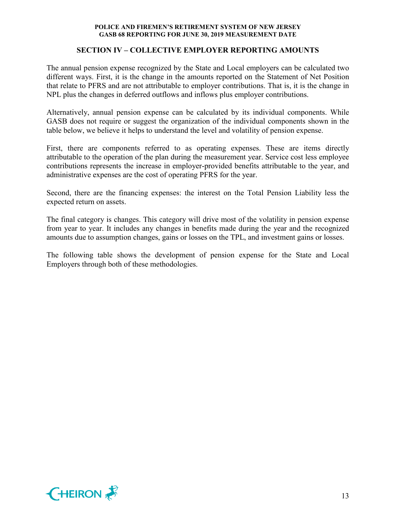### **SECTION IV – COLLECTIVE EMPLOYER REPORTING AMOUNTS**

The annual pension expense recognized by the State and Local employers can be calculated two different ways. First, it is the change in the amounts reported on the Statement of Net Position that relate to PFRS and are not attributable to employer contributions. That is, it is the change in NPL plus the changes in deferred outflows and inflows plus employer contributions.

Alternatively, annual pension expense can be calculated by its individual components. While GASB does not require or suggest the organization of the individual components shown in the table below, we believe it helps to understand the level and volatility of pension expense.

First, there are components referred to as operating expenses. These are items directly attributable to the operation of the plan during the measurement year. Service cost less employee contributions represents the increase in employer-provided benefits attributable to the year, and administrative expenses are the cost of operating PFRS for the year.

Second, there are the financing expenses: the interest on the Total Pension Liability less the expected return on assets.

The final category is changes. This category will drive most of the volatility in pension expense from year to year. It includes any changes in benefits made during the year and the recognized amounts due to assumption changes, gains or losses on the TPL, and investment gains or losses.

The following table shows the development of pension expense for the State and Local Employers through both of these methodologies.

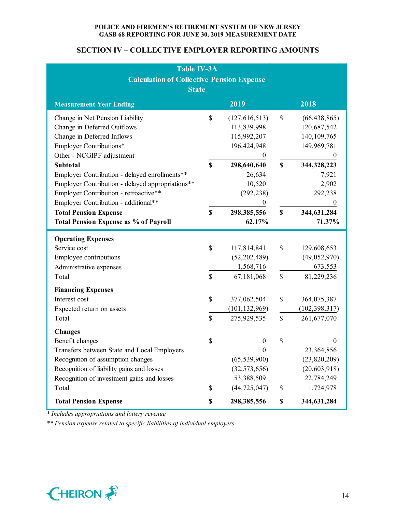# **SECTION IV – COLLECTIVE EMPLOYER REPORTING AMOUNTS**

| <b>Table IV-3A</b>                               |              |                  |             |                  |  |  |  |  |  |  |  |
|--------------------------------------------------|--------------|------------------|-------------|------------------|--|--|--|--|--|--|--|
| <b>Calculation of Collective Pension Expense</b> |              |                  |             |                  |  |  |  |  |  |  |  |
| <b>State</b>                                     |              |                  |             |                  |  |  |  |  |  |  |  |
| 2019<br>2018<br><b>Measurement Year Ending</b>   |              |                  |             |                  |  |  |  |  |  |  |  |
| Change in Net Pension Liability                  | $\$$         | (127, 616, 513)  | \$          | (66, 438, 865)   |  |  |  |  |  |  |  |
| Change in Deferred Outflows                      |              | 113,839,998      |             | 120,687,542      |  |  |  |  |  |  |  |
| Change in Deferred Inflows                       |              | 115,992,207      |             | 140, 109, 765    |  |  |  |  |  |  |  |
| Employer Contributions*                          |              | 196,424,948      |             | 149,969,781      |  |  |  |  |  |  |  |
| Other - NCGIPF adjustment                        |              | $\theta$         |             | $\boldsymbol{0}$ |  |  |  |  |  |  |  |
| <b>Subtotal</b>                                  | $\mathbf S$  | 298,640,640      | $\mathbf S$ | 344,328,223      |  |  |  |  |  |  |  |
| Employer Contribution - delayed enrollments**    |              | 26,634           |             | 7,921            |  |  |  |  |  |  |  |
| Employer Contribution - delayed appropriations** |              | 10,520           |             | 2,902            |  |  |  |  |  |  |  |
| Employer Contribution - retroactive**            |              | (292, 238)       |             | 292,238          |  |  |  |  |  |  |  |
| Employer Contribution - additional**             |              | $\boldsymbol{0}$ |             | $\boldsymbol{0}$ |  |  |  |  |  |  |  |
| <b>Total Pension Expense</b>                     | $\mathbf S$  | 298, 385, 556    | \$          | 344,631,284      |  |  |  |  |  |  |  |
| <b>Total Pension Expense as % of Payroll</b>     |              | 62.17%           |             | 71.37%           |  |  |  |  |  |  |  |
| <b>Operating Expenses</b>                        |              |                  |             |                  |  |  |  |  |  |  |  |
| Service cost                                     | \$           | 117,814,841      | $\mathbb S$ | 129,608,653      |  |  |  |  |  |  |  |
| Employee contributions                           |              | (52, 202, 489)   |             | (49,052,970)     |  |  |  |  |  |  |  |
| Administrative expenses                          |              | 1,568,716        |             | 673,553          |  |  |  |  |  |  |  |
| Total                                            | $\mathbb{S}$ | 67,181,068       | \$          | 81,229,236       |  |  |  |  |  |  |  |
| <b>Financing Expenses</b>                        |              |                  |             |                  |  |  |  |  |  |  |  |
| Interest cost                                    | $\mathbb{S}$ | 377,062,504      | \$          | 364,075,387      |  |  |  |  |  |  |  |
| Expected return on assets                        |              | (101, 132, 969)  |             | (102, 398, 317)  |  |  |  |  |  |  |  |
| Total                                            | $\mathbb{S}$ | 275,929,535      | \$          | 261,677,070      |  |  |  |  |  |  |  |
| <b>Changes</b>                                   |              |                  |             |                  |  |  |  |  |  |  |  |
| Benefit changes                                  | \$           | $\overline{0}$   | \$          | $\boldsymbol{0}$ |  |  |  |  |  |  |  |
| Transfers between State and Local Employers      |              | 0                |             | 23,364,856       |  |  |  |  |  |  |  |
| Recognition of assumption changes                |              | (65, 539, 900)   |             | (23,820,209)     |  |  |  |  |  |  |  |
| Recognition of liability gains and losses        |              | (32, 573, 656)   |             | (20, 603, 918)   |  |  |  |  |  |  |  |
| Recognition of investment gains and losses       |              | 53,388,509       |             | 22,784,249       |  |  |  |  |  |  |  |
| Total                                            | \$           | (44, 725, 047)   | \$          | 1,724,978        |  |  |  |  |  |  |  |
| <b>Total Pension Expense</b>                     | \$           | 298,385,556      | $\mathbb S$ | 344,631,284      |  |  |  |  |  |  |  |

*\* Includes appropriations and lottery revenue*

*\*\* Pension expense related to specific liabilities of individual employers*

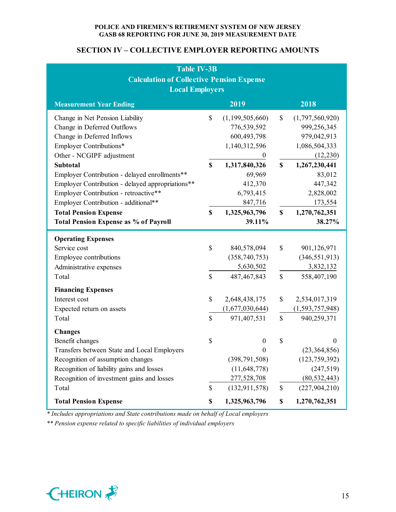# **SECTION IV – COLLECTIVE EMPLOYER REPORTING AMOUNTS**

| <b>Table IV-3B</b>                               |             |                    |              |                    |  |  |  |  |
|--------------------------------------------------|-------------|--------------------|--------------|--------------------|--|--|--|--|
| <b>Calculation of Collective Pension Expense</b> |             |                    |              |                    |  |  |  |  |
| <b>Local Employers</b>                           |             |                    |              |                    |  |  |  |  |
| <b>Measurement Year Ending</b>                   |             | 2019               |              | 2018               |  |  |  |  |
| Change in Net Pension Liability                  | \$          | (1, 199, 505, 660) | \$           | (1,797,560,920)    |  |  |  |  |
| Change in Deferred Outflows                      |             | 776,539,592        |              | 999,256,345        |  |  |  |  |
| Change in Deferred Inflows                       |             | 600,493,798        |              | 979,042,913        |  |  |  |  |
| Employer Contributions*                          |             | 1,140,312,596      |              | 1,086,504,333      |  |  |  |  |
| Other - NCGIPF adjustment                        |             | $\mathbf{0}$       |              | (12,230)           |  |  |  |  |
| <b>Subtotal</b>                                  | $\mathbf S$ | 1,317,840,326      | \$           | 1,267,230,441      |  |  |  |  |
| Employer Contribution - delayed enrollments**    |             | 69,969             |              | 83,012             |  |  |  |  |
| Employer Contribution - delayed appropriations** |             | 412,370            |              | 447,342            |  |  |  |  |
| Employer Contribution - retroactive**            |             | 6,793,415          |              | 2,828,002          |  |  |  |  |
| Employer Contribution - additional**             |             | 847,716            |              | 173,554            |  |  |  |  |
| <b>Total Pension Expense</b>                     | \$          | 1,325,963,796      | \$           | 1,270,762,351      |  |  |  |  |
| <b>Total Pension Expense as % of Payroll</b>     |             | 39.11%             |              | 38.27%             |  |  |  |  |
| <b>Operating Expenses</b>                        |             |                    |              |                    |  |  |  |  |
| Service cost                                     | $\mathbb S$ | 840,578,094        | $\mathbb S$  | 901,126,971        |  |  |  |  |
| Employee contributions                           |             | (358, 740, 753)    |              | (346, 551, 913)    |  |  |  |  |
| Administrative expenses                          |             | 5,630,502          |              | 3,832,132          |  |  |  |  |
| Total                                            | \$          | 487, 467, 843      | \$           | 558,407,190        |  |  |  |  |
| <b>Financing Expenses</b>                        |             |                    |              |                    |  |  |  |  |
| Interest cost                                    | \$          | 2,648,438,175      | \$           | 2,534,017,319      |  |  |  |  |
| Expected return on assets                        |             | (1,677,030,644)    |              | (1, 593, 757, 948) |  |  |  |  |
| Total                                            | $\mathbf S$ | 971,407,531        | $\mathbb{S}$ | 940,259,371        |  |  |  |  |
| <b>Changes</b>                                   |             |                    |              |                    |  |  |  |  |
| Benefit changes                                  | \$          | $\boldsymbol{0}$   | \$           | $\theta$           |  |  |  |  |
| Transfers between State and Local Employers      |             | $\boldsymbol{0}$   |              | (23, 364, 856)     |  |  |  |  |
| Recognition of assumption changes                |             | (398, 791, 508)    |              | (123, 759, 392)    |  |  |  |  |
| Recognition of liability gains and losses        |             | (11, 648, 778)     |              | (247, 519)         |  |  |  |  |
| Recognition of investment gains and losses       |             | 277,528,708        |              | (80, 532, 443)     |  |  |  |  |
| Total                                            | \$          | (132, 911, 578)    | \$           | (227, 904, 210)    |  |  |  |  |
| <b>Total Pension Expense</b>                     | \$          | 1,325,963,796      | \$           | 1,270,762,351      |  |  |  |  |

*\* Includes appropriations and State contributions made on behalf of Local employers*

*\*\* Pension expense related to specific liabilities of individual employers*

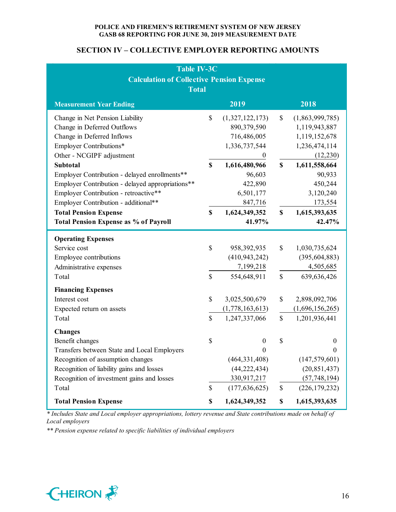# **SECTION IV – COLLECTIVE EMPLOYER REPORTING AMOUNTS**

| <b>Table IV-3C</b>                               |             |                 |             |                  |  |  |  |  |
|--------------------------------------------------|-------------|-----------------|-------------|------------------|--|--|--|--|
| <b>Calculation of Collective Pension Expense</b> |             |                 |             |                  |  |  |  |  |
| <b>Total</b>                                     |             |                 |             |                  |  |  |  |  |
| <b>Measurement Year Ending</b>                   |             | 2019            |             | 2018             |  |  |  |  |
| Change in Net Pension Liability                  | \$          | (1,327,122,173) | \$          | (1,863,999,785)  |  |  |  |  |
| Change in Deferred Outflows                      |             | 890,379,590     |             | 1,119,943,887    |  |  |  |  |
| Change in Deferred Inflows                       |             | 716,486,005     |             | 1,119,152,678    |  |  |  |  |
| Employer Contributions*                          |             | 1,336,737,544   |             | 1,236,474,114    |  |  |  |  |
| Other - NCGIPF adjustment                        |             | $\bf{0}$        |             | (12,230)         |  |  |  |  |
| <b>Subtotal</b>                                  | \$          | 1,616,480,966   | \$          | 1,611,558,664    |  |  |  |  |
| Employer Contribution - delayed enrollments**    |             | 96,603          |             | 90,933           |  |  |  |  |
| Employer Contribution - delayed appropriations** |             | 422,890         |             | 450,244          |  |  |  |  |
| Employer Contribution - retroactive**            |             | 6,501,177       |             | 3,120,240        |  |  |  |  |
| Employer Contribution - additional**             |             | 847,716         |             | 173,554          |  |  |  |  |
| <b>Total Pension Expense</b>                     | \$          | 1,624,349,352   | \$          | 1,615,393,635    |  |  |  |  |
| <b>Total Pension Expense as % of Payroll</b>     |             | 41.97%          |             | 42.47%           |  |  |  |  |
| <b>Operating Expenses</b>                        |             |                 |             |                  |  |  |  |  |
| Service cost                                     | \$          | 958,392,935     | \$          | 1,030,735,624    |  |  |  |  |
| Employee contributions                           |             | (410, 943, 242) |             | (395, 604, 883)  |  |  |  |  |
| Administrative expenses                          |             | 7,199,218       |             | 4,505,685        |  |  |  |  |
| Total                                            | \$          | 554,648,911     | $\mathbb S$ | 639,636,426      |  |  |  |  |
| <b>Financing Expenses</b>                        |             |                 |             |                  |  |  |  |  |
| Interest cost                                    | \$          | 3,025,500,679   | \$          | 2,898,092,706    |  |  |  |  |
| Expected return on assets                        |             | (1,778,163,613) |             | (1,696,156,265)  |  |  |  |  |
| Total                                            | $\mathbf S$ | 1,247,337,066   | \$          | 1,201,936,441    |  |  |  |  |
| <b>Changes</b>                                   |             |                 |             |                  |  |  |  |  |
| Benefit changes                                  | \$          | $\overline{0}$  | \$          | $\boldsymbol{0}$ |  |  |  |  |
| Transfers between State and Local Employers      |             | $\theta$        |             | 0                |  |  |  |  |
| Recognition of assumption changes                |             | (464, 331, 408) |             | (147, 579, 601)  |  |  |  |  |
| Recognition of liability gains and losses        |             | (44, 222, 434)  |             | (20, 851, 437)   |  |  |  |  |
| Recognition of investment gains and losses       |             | 330,917,217     |             | (57, 748, 194)   |  |  |  |  |
| Total                                            | \$          | (177, 636, 625) | $\$$        | (226, 179, 232)  |  |  |  |  |
| <b>Total Pension Expense</b>                     | \$          | 1,624,349,352   | \$          | 1,615,393,635    |  |  |  |  |

*\* Includes State and Local employer appropriations, lottery revenue and State contributions made on behalf of Local employers*

*\*\* Pension expense related to specific liabilities of individual employers*

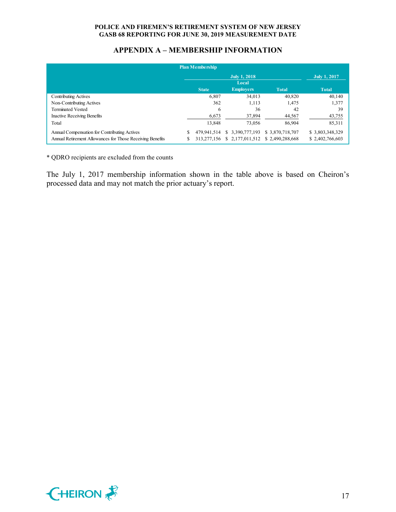# **APPENDIX A – MEMBERSHIP INFORMATION**

| Plan Membership                                           |                                                  |             |                     |                 |                 |  |  |  |  |  |
|-----------------------------------------------------------|--------------------------------------------------|-------------|---------------------|-----------------|-----------------|--|--|--|--|--|
|                                                           |                                                  |             | <b>July 1, 2017</b> |                 |                 |  |  |  |  |  |
|                                                           |                                                  |             | Local               |                 |                 |  |  |  |  |  |
|                                                           | <b>Employers</b><br><b>Total</b><br><b>State</b> |             |                     |                 |                 |  |  |  |  |  |
| <b>Contributing Actives</b>                               |                                                  | 6,807       | 34.013              | 40,820          | 40,140          |  |  |  |  |  |
| Non-Contributing Actives                                  |                                                  | 362         | 1,113               | 1,475           | 1,377           |  |  |  |  |  |
| <b>Terminated Vested</b>                                  |                                                  | 6           | 36                  | 42              | 39              |  |  |  |  |  |
| <b>Inactive Receiving Benefits</b>                        |                                                  | 6,673       | 37,894              | 44,567          | 43,755          |  |  |  |  |  |
| Total                                                     |                                                  | 13,848      | 73,056              | 86,904          | 85,311          |  |  |  |  |  |
| Annual Compensation for Contributing Actives              |                                                  | 479.941.514 | \$ 3.390,777,193    | \$3,870,718,707 | \$3,803,348,329 |  |  |  |  |  |
| Annual Retirement Allowances for Those Receiving Benefits |                                                  | 313,277,156 | \$2,177,011,512     | \$2.490.288,668 | \$2,402,766,603 |  |  |  |  |  |

\* QDRO recipients are excluded from the counts

The July 1, 2017 membership information shown in the table above is based on Cheiron's processed data and may not match the prior actuary's report.

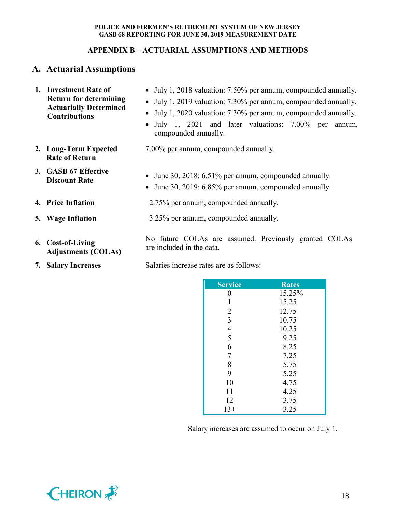# **APPENDIX B – ACTUARIAL ASSUMPTIONS AND METHODS**

# **A. Actuarial Assumptions**

| 1. Investment Rate of<br><b>Return for determining</b><br><b>Actuarially Determined</b><br><b>Contributions</b> | • July 1, 2018 valuation: 7.50% per annum, compounded annually.<br>• July 1, 2019 valuation: 7.30% per annum, compounded annually.<br>• July 1, 2020 valuation: 7.30% per annum, compounded annually.<br>July 1, 2021 and later valuations: 7.00% per<br>$\bullet$<br>annum,<br>compounded annually. |  |  |  |  |  |
|-----------------------------------------------------------------------------------------------------------------|------------------------------------------------------------------------------------------------------------------------------------------------------------------------------------------------------------------------------------------------------------------------------------------------------|--|--|--|--|--|
| 2. Long-Term Expected<br><b>Rate of Return</b>                                                                  | 7.00% per annum, compounded annually.                                                                                                                                                                                                                                                                |  |  |  |  |  |
| 3. GASB 67 Effective<br><b>Discount Rate</b>                                                                    | • June 30, 2018: 6.51% per annum, compounded annually.<br>• June 30, 2019: 6.85% per annum, compounded annually.                                                                                                                                                                                     |  |  |  |  |  |
| 4. Price Inflation                                                                                              | 2.75% per annum, compounded annually.                                                                                                                                                                                                                                                                |  |  |  |  |  |
| 5. Wage Inflation                                                                                               | 3.25% per annum, compounded annually.                                                                                                                                                                                                                                                                |  |  |  |  |  |
| 6. Cost-of-Living<br><b>Adjustments (COLAs)</b>                                                                 | No future COLAs are assumed. Previously granted COLAs<br>are included in the data.                                                                                                                                                                                                                   |  |  |  |  |  |
| <b>7. Salary Increases</b>                                                                                      | Salaries increase rates are as follows:                                                                                                                                                                                                                                                              |  |  |  |  |  |

| Service        | <b>Rates</b> |
|----------------|--------------|
| 0              | 15.25%       |
| 1              | 15.25        |
| $\overline{2}$ | 12.75        |
| $\overline{3}$ | 10.75        |
| $\overline{4}$ | 10.25        |
| 5              | 9.25         |
| 6              | 8.25         |
| $\overline{7}$ | 7.25         |
| 8              | 5.75         |
| 9              | 5.25         |
| 10             | 4.75         |
| 11             | 4.25         |
| 12             | 3.75         |
| $13+$          | 3.25         |

Salary increases are assumed to occur on July 1.

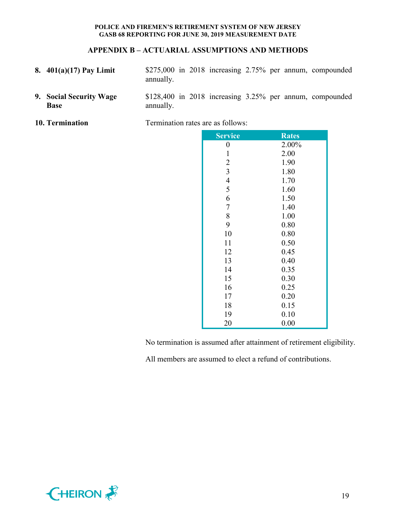#### **APPENDIX B – ACTUARIAL ASSUMPTIONS AND METHODS**

- **8. 401(a)(17) Pay Limit** \$275,000 in 2018 increasing 2.75% per annum, compounded annually.
- **9. Social Security Wage Base** \$128,400 in 2018 increasing 3.25% per annum, compounded annually.
- 

**10. Termination** Termination rates are as follows:

| <b>Service</b> | <b>Rates</b> |
|----------------|--------------|
| $\pmb{0}$      | 2.00%        |
| $\mathbf{1}$   | 2.00         |
| $\overline{c}$ | 1.90         |
| $\overline{3}$ | 1.80         |
| $\overline{4}$ | 1.70         |
| 5              | 1.60         |
| 6              | 1.50         |
| $\overline{7}$ | 1.40         |
| 8              | 1.00         |
| 9              | 0.80         |
| 10             | 0.80         |
| 11             | 0.50         |
| 12             | 0.45         |
| 13             | 0.40         |
| 14             | 0.35         |
| 15             | 0.30         |
| 16             | 0.25         |
| 17             | 0.20         |
| 18             | 0.15         |
| 19             | 0.10         |
| 20             | 0.00         |
|                |              |

No termination is assumed after attainment of retirement eligibility.

All members are assumed to elect a refund of contributions.

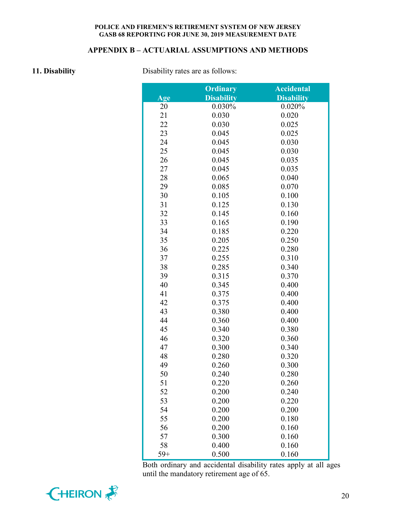# **APPENDIX B – ACTUARIAL ASSUMPTIONS AND METHODS**

**11. Disability** Disability rates are as follows:

|       | <b>Ordinary</b>   | <b>Accidental</b> |
|-------|-------------------|-------------------|
| Age   | <b>Disability</b> | <b>Disability</b> |
| 20    | 0.030%            | 0.020%            |
| 21    | 0.030             | 0.020             |
| 22    | 0.030             | 0.025             |
| 23    | 0.045             | 0.025             |
| 24    | 0.045             | 0.030             |
| 25    | 0.045             | 0.030             |
| 26    | 0.045             | 0.035             |
| 27    | 0.045             | 0.035             |
| 28    | 0.065             | 0.040             |
| 29    | 0.085             | 0.070             |
| 30    | 0.105             | 0.100             |
| 31    | 0.125             | 0.130             |
| 32    | 0.145             | 0.160             |
| 33    | 0.165             | 0.190             |
| 34    | 0.185             | 0.220             |
| 35    | 0.205             | 0.250             |
| 36    | 0.225             | 0.280             |
| 37    | 0.255             | 0.310             |
| 38    | 0.285             | 0.340             |
| 39    | 0.315             | 0.370             |
| 40    | 0.345             | 0.400             |
| 41    | 0.375             | 0.400             |
| 42    | 0.375             | 0.400             |
| 43    | 0.380             | 0.400             |
| 44    | 0.360             | 0.400             |
| 45    | 0.340             | 0.380             |
| 46    | 0.320             | 0.360             |
| 47    | 0.300             | 0.340             |
| 48    | 0.280             | 0.320             |
| 49    | 0.260             | 0.300             |
| 50    | 0.240             | 0.280             |
| 51    | 0.220             | 0.260             |
| 52    | 0.200             | 0.240             |
| 53    | 0.200             | 0.220             |
| 54    | 0.200             | 0.200             |
| 55    | 0.200             | 0.180             |
| 56    | 0.200             | 0.160             |
| 57    | 0.300             | 0.160             |
| 58    | 0.400             | 0.160             |
| $59+$ | 0.500             | 0.160             |

Both ordinary and accidental disability rates apply at all ages until the mandatory retirement age of 65.

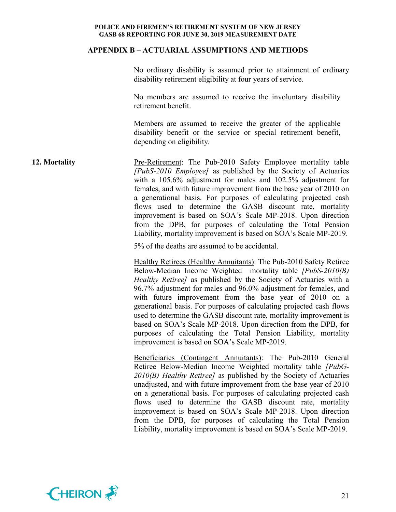#### **APPENDIX B – ACTUARIAL ASSUMPTIONS AND METHODS**

No ordinary disability is assumed prior to attainment of ordinary disability retirement eligibility at four years of service.

No members are assumed to receive the involuntary disability retirement benefit.

Members are assumed to receive the greater of the applicable disability benefit or the service or special retirement benefit, depending on eligibility.

**12. Mortality** Pre-Retirement: The Pub-2010 Safety Employee mortality table *[PubS-2010 Employee]* as published by the Society of Actuaries with a 105.6% adjustment for males and 102.5% adjustment for females, and with future improvement from the base year of 2010 on a generational basis. For purposes of calculating projected cash flows used to determine the GASB discount rate, mortality improvement is based on SOA's Scale MP-2018. Upon direction from the DPB, for purposes of calculating the Total Pension Liability, mortality improvement is based on SOA's Scale MP-2019.

5% of the deaths are assumed to be accidental.

Healthy Retirees (Healthy Annuitants): The Pub-2010 Safety Retiree Below-Median Income Weighted mortality table *[PubS-2010(B) Healthy Retiree]* as published by the Society of Actuaries with a 96.7% adjustment for males and 96.0% adjustment for females, and with future improvement from the base year of 2010 on a generational basis. For purposes of calculating projected cash flows used to determine the GASB discount rate, mortality improvement is based on SOA's Scale MP-2018. Upon direction from the DPB, for purposes of calculating the Total Pension Liability, mortality improvement is based on SOA's Scale MP-2019.

Beneficiaries (Contingent Annuitants): The Pub-2010 General Retiree Below-Median Income Weighted mortality table *[PubG-2010(B) Healthy Retiree]* as published by the Society of Actuaries unadjusted, and with future improvement from the base year of 2010 on a generational basis. For purposes of calculating projected cash flows used to determine the GASB discount rate, mortality improvement is based on SOA's Scale MP-2018. Upon direction from the DPB, for purposes of calculating the Total Pension Liability, mortality improvement is based on SOA's Scale MP-2019.

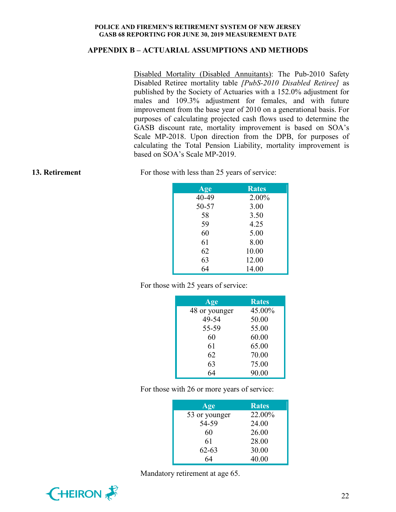### **APPENDIX B – ACTUARIAL ASSUMPTIONS AND METHODS**

Disabled Mortality (Disabled Annuitants): The Pub-2010 Safety Disabled Retiree mortality table *[PubS-2010 Disabled Retiree]* as published by the Society of Actuaries with a 152.0% adjustment for males and 109.3% adjustment for females, and with future improvement from the base year of 2010 on a generational basis. For purposes of calculating projected cash flows used to determine the GASB discount rate, mortality improvement is based on SOA's Scale MP-2018. Upon direction from the DPB, for purposes of calculating the Total Pension Liability, mortality improvement is based on SOA's Scale MP-2019.

**13. Retirement** For those with less than 25 years of service:

| Age   | <b>Rates</b> |
|-------|--------------|
| 40-49 | 2.00%        |
| 50-57 | 3.00         |
| 58    | 3.50         |
| 59    | 4.25         |
| 60    | 5.00         |
| 61    | 8.00         |
| 62    | 10.00        |
| 63    | 12.00        |
| 64    | 14.00        |

For those with 25 years of service:

| Age           | <b>Rates</b> |
|---------------|--------------|
| 48 or younger | 45.00%       |
| 49-54         | 50.00        |
| 55-59         | 55.00        |
| 60            | 60.00        |
| 61            | 65.00        |
| 62            | 70.00        |
| 63            | 75.00        |
| 64            | 90.00        |

For those with 26 or more years of service:

| Age           | <b>Rates</b> |
|---------------|--------------|
| 53 or younger | 22.00%       |
| 54-59         | 24.00        |
| 60            | 26.00        |
| 61            | 28.00        |
| $62 - 63$     | 30.00        |
| 64            | 40.00        |

Mandatory retirement at age 65.

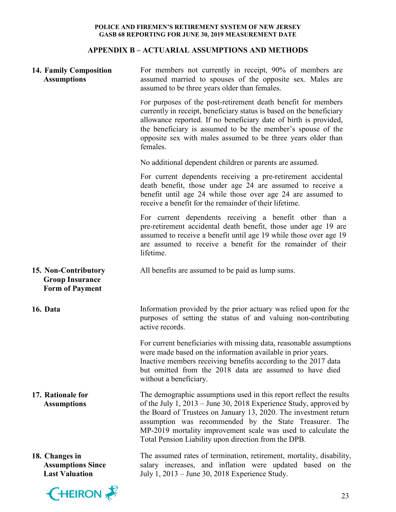# **APPENDIX B – ACTUARIAL ASSUMPTIONS AND METHODS**

| 14. Family Composition<br><b>Assumptions</b>                             | For members not currently in receipt, 90% of members are<br>assumed married to spouses of the opposite sex. Males are<br>assumed to be three years older than females.                                                                                                                                                                                                                            |
|--------------------------------------------------------------------------|---------------------------------------------------------------------------------------------------------------------------------------------------------------------------------------------------------------------------------------------------------------------------------------------------------------------------------------------------------------------------------------------------|
|                                                                          | For purposes of the post-retirement death benefit for members<br>currently in receipt, beneficiary status is based on the beneficiary<br>allowance reported. If no beneficiary date of birth is provided,<br>the beneficiary is assumed to be the member's spouse of the<br>opposite sex with males assumed to be three years older than<br>females.                                              |
|                                                                          | No additional dependent children or parents are assumed.                                                                                                                                                                                                                                                                                                                                          |
|                                                                          | For current dependents receiving a pre-retirement accidental<br>death benefit, those under age 24 are assumed to receive a<br>benefit until age 24 while those over age 24 are assumed to<br>receive a benefit for the remainder of their lifetime.                                                                                                                                               |
|                                                                          | For current dependents receiving a benefit other than a<br>pre-retirement accidental death benefit, those under age 19 are<br>assumed to receive a benefit until age 19 while those over age 19<br>are assumed to receive a benefit for the remainder of their<br>lifetime.                                                                                                                       |
| 15. Non-Contributory<br><b>Group Insurance</b><br><b>Form of Payment</b> | All benefits are assumed to be paid as lump sums.                                                                                                                                                                                                                                                                                                                                                 |
| 16. Data                                                                 | Information provided by the prior actuary was relied upon for the<br>purposes of setting the status of and valuing non-contributing<br>active records.                                                                                                                                                                                                                                            |
|                                                                          | For current beneficiaries with missing data, reasonable assumptions<br>were made based on the information available in prior years.<br>Inactive members receiving benefits according to the 2017 data<br>but omitted from the 2018 data are assumed to have died<br>without a beneficiary.                                                                                                        |
| 17. Rationale for<br><b>Assumptions</b>                                  | The demographic assumptions used in this report reflect the results<br>of the July $1, 2013$ – June 30, 2018 Experience Study, approved by<br>the Board of Trustees on January 13, 2020. The investment return<br>assumption was recommended by the State Treasurer. The<br>MP-2019 mortality improvement scale was used to calculate the<br>Total Pension Liability upon direction from the DPB. |
| 18. Changes in<br><b>Assumptions Since</b><br><b>Last Valuation</b>      | The assumed rates of termination, retirement, mortality, disability,<br>salary increases, and inflation were updated based on the<br>July 1, 2013 – June 30, 2018 Experience Study.                                                                                                                                                                                                               |
| <b>EHEIRON</b>                                                           | 23                                                                                                                                                                                                                                                                                                                                                                                                |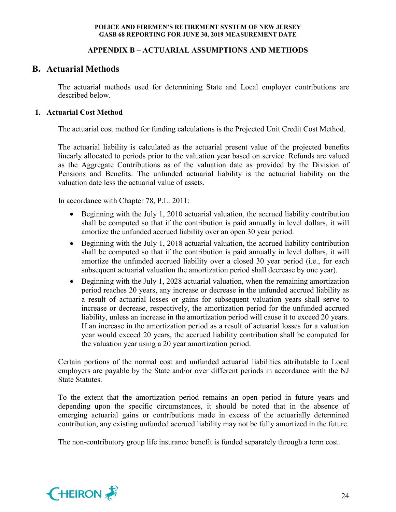# **APPENDIX B – ACTUARIAL ASSUMPTIONS AND METHODS**

# **B. Actuarial Methods**

The actuarial methods used for determining State and Local employer contributions are described below.

# **1. Actuarial Cost Method**

The actuarial cost method for funding calculations is the Projected Unit Credit Cost Method.

The actuarial liability is calculated as the actuarial present value of the projected benefits linearly allocated to periods prior to the valuation year based on service. Refunds are valued as the Aggregate Contributions as of the valuation date as provided by the Division of Pensions and Benefits. The unfunded actuarial liability is the actuarial liability on the valuation date less the actuarial value of assets.

In accordance with Chapter 78, P.L. 2011:

- Beginning with the July 1, 2010 actuarial valuation, the accrued liability contribution shall be computed so that if the contribution is paid annually in level dollars, it will amortize the unfunded accrued liability over an open 30 year period.
- Beginning with the July 1, 2018 actuarial valuation, the accrued liability contribution shall be computed so that if the contribution is paid annually in level dollars, it will amortize the unfunded accrued liability over a closed 30 year period (i.e., for each subsequent actuarial valuation the amortization period shall decrease by one year).
- Beginning with the July 1, 2028 actuarial valuation, when the remaining amortization period reaches 20 years, any increase or decrease in the unfunded accrued liability as a result of actuarial losses or gains for subsequent valuation years shall serve to increase or decrease, respectively, the amortization period for the unfunded accrued liability, unless an increase in the amortization period will cause it to exceed 20 years. If an increase in the amortization period as a result of actuarial losses for a valuation year would exceed 20 years, the accrued liability contribution shall be computed for the valuation year using a 20 year amortization period.

Certain portions of the normal cost and unfunded actuarial liabilities attributable to Local employers are payable by the State and/or over different periods in accordance with the NJ State Statutes.

To the extent that the amortization period remains an open period in future years and depending upon the specific circumstances, it should be noted that in the absence of emerging actuarial gains or contributions made in excess of the actuarially determined contribution, any existing unfunded accrued liability may not be fully amortized in the future.

The non-contributory group life insurance benefit is funded separately through a term cost.

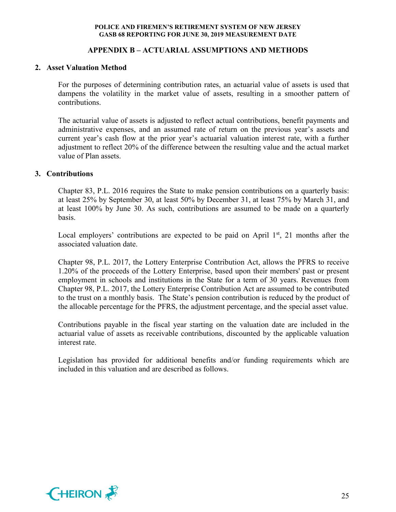### **APPENDIX B – ACTUARIAL ASSUMPTIONS AND METHODS**

#### **2. Asset Valuation Method**

For the purposes of determining contribution rates, an actuarial value of assets is used that dampens the volatility in the market value of assets, resulting in a smoother pattern of contributions.

The actuarial value of assets is adjusted to reflect actual contributions, benefit payments and administrative expenses, and an assumed rate of return on the previous year's assets and current year's cash flow at the prior year's actuarial valuation interest rate, with a further adjustment to reflect 20% of the difference between the resulting value and the actual market value of Plan assets.

#### **3. Contributions**

Chapter 83, P.L. 2016 requires the State to make pension contributions on a quarterly basis: at least 25% by September 30, at least 50% by December 31, at least 75% by March 31, and at least 100% by June 30. As such, contributions are assumed to be made on a quarterly basis.

Local employers' contributions are expected to be paid on April  $1<sup>st</sup>$ , 21 months after the associated valuation date.

Chapter 98, P.L. 2017, the Lottery Enterprise Contribution Act, allows the PFRS to receive 1.20% of the proceeds of the Lottery Enterprise, based upon their members' past or present employment in schools and institutions in the State for a term of 30 years. Revenues from Chapter 98, P.L. 2017, the Lottery Enterprise Contribution Act are assumed to be contributed to the trust on a monthly basis. The State's pension contribution is reduced by the product of the allocable percentage for the PFRS, the adjustment percentage, and the special asset value.

Contributions payable in the fiscal year starting on the valuation date are included in the actuarial value of assets as receivable contributions, discounted by the applicable valuation interest rate.

Legislation has provided for additional benefits and/or funding requirements which are included in this valuation and are described as follows.

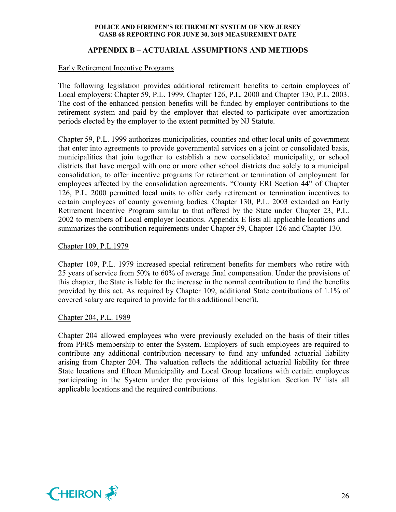# **APPENDIX B – ACTUARIAL ASSUMPTIONS AND METHODS**

#### Early Retirement Incentive Programs

The following legislation provides additional retirement benefits to certain employees of Local employers: Chapter 59, P.L. 1999, Chapter 126, P.L. 2000 and Chapter 130, P.L. 2003. The cost of the enhanced pension benefits will be funded by employer contributions to the retirement system and paid by the employer that elected to participate over amortization periods elected by the employer to the extent permitted by NJ Statute.

Chapter 59, P.L. 1999 authorizes municipalities, counties and other local units of government that enter into agreements to provide governmental services on a joint or consolidated basis, municipalities that join together to establish a new consolidated municipality, or school districts that have merged with one or more other school districts due solely to a municipal consolidation, to offer incentive programs for retirement or termination of employment for employees affected by the consolidation agreements. "County ERI Section 44" of Chapter 126, P.L. 2000 permitted local units to offer early retirement or termination incentives to certain employees of county governing bodies. Chapter 130, P.L. 2003 extended an Early Retirement Incentive Program similar to that offered by the State under Chapter 23, P.L. 2002 to members of Local employer locations. Appendix E lists all applicable locations and summarizes the contribution requirements under Chapter 59, Chapter 126 and Chapter 130.

#### Chapter 109, P.L.1979

Chapter 109, P.L. 1979 increased special retirement benefits for members who retire with 25 years of service from 50% to 60% of average final compensation. Under the provisions of this chapter, the State is liable for the increase in the normal contribution to fund the benefits provided by this act. As required by Chapter 109, additional State contributions of 1.1% of covered salary are required to provide for this additional benefit.

#### Chapter 204, P.L. 1989

Chapter 204 allowed employees who were previously excluded on the basis of their titles from PFRS membership to enter the System. Employers of such employees are required to contribute any additional contribution necessary to fund any unfunded actuarial liability arising from Chapter 204. The valuation reflects the additional actuarial liability for three State locations and fifteen Municipality and Local Group locations with certain employees participating in the System under the provisions of this legislation. Section IV lists all applicable locations and the required contributions.

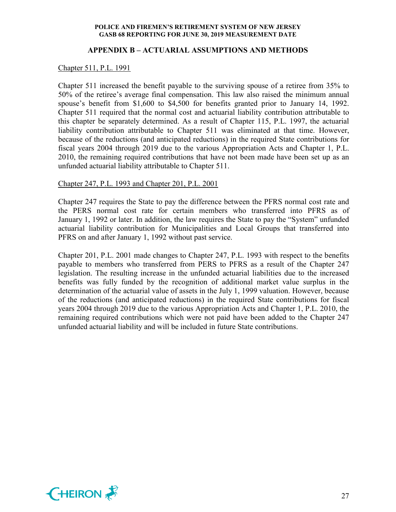#### **APPENDIX B – ACTUARIAL ASSUMPTIONS AND METHODS**

Chapter 511, P.L. 1991

Chapter 511 increased the benefit payable to the surviving spouse of a retiree from 35% to 50% of the retiree's average final compensation. This law also raised the minimum annual spouse's benefit from \$1,600 to \$4,500 for benefits granted prior to January 14, 1992. Chapter 511 required that the normal cost and actuarial liability contribution attributable to this chapter be separately determined. As a result of Chapter 115, P.L. 1997, the actuarial liability contribution attributable to Chapter 511 was eliminated at that time. However, because of the reductions (and anticipated reductions) in the required State contributions for fiscal years 2004 through 2019 due to the various Appropriation Acts and Chapter 1, P.L. 2010, the remaining required contributions that have not been made have been set up as an unfunded actuarial liability attributable to Chapter 511.

#### Chapter 247, P.L. 1993 and Chapter 201, P.L. 2001

Chapter 247 requires the State to pay the difference between the PFRS normal cost rate and the PERS normal cost rate for certain members who transferred into PFRS as of January 1, 1992 or later. In addition, the law requires the State to pay the "System" unfunded actuarial liability contribution for Municipalities and Local Groups that transferred into PFRS on and after January 1, 1992 without past service.

Chapter 201, P.L. 2001 made changes to Chapter 247, P.L. 1993 with respect to the benefits payable to members who transferred from PERS to PFRS as a result of the Chapter 247 legislation. The resulting increase in the unfunded actuarial liabilities due to the increased benefits was fully funded by the recognition of additional market value surplus in the determination of the actuarial value of assets in the July 1, 1999 valuation. However, because of the reductions (and anticipated reductions) in the required State contributions for fiscal years 2004 through 2019 due to the various Appropriation Acts and Chapter 1, P.L. 2010, the remaining required contributions which were not paid have been added to the Chapter 247 unfunded actuarial liability and will be included in future State contributions.

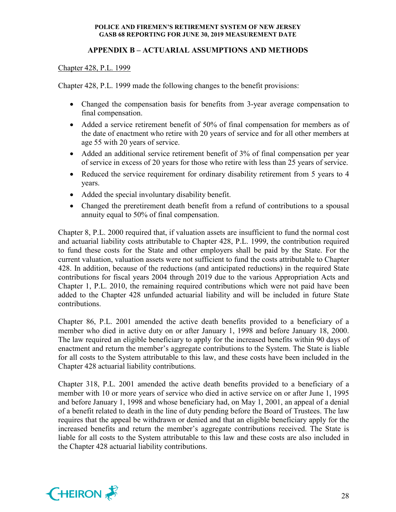# **APPENDIX B – ACTUARIAL ASSUMPTIONS AND METHODS**

## Chapter 428, P.L. 1999

Chapter 428, P.L. 1999 made the following changes to the benefit provisions:

- Changed the compensation basis for benefits from 3-year average compensation to final compensation.
- Added a service retirement benefit of 50% of final compensation for members as of the date of enactment who retire with 20 years of service and for all other members at age 55 with 20 years of service.
- Added an additional service retirement benefit of 3% of final compensation per year of service in excess of 20 years for those who retire with less than 25 years of service.
- Reduced the service requirement for ordinary disability retirement from 5 years to 4 years.
- Added the special involuntary disability benefit.
- Changed the preretirement death benefit from a refund of contributions to a spousal annuity equal to 50% of final compensation.

Chapter 8, P.L. 2000 required that, if valuation assets are insufficient to fund the normal cost and actuarial liability costs attributable to Chapter 428, P.L. 1999, the contribution required to fund these costs for the State and other employers shall be paid by the State. For the current valuation, valuation assets were not sufficient to fund the costs attributable to Chapter 428. In addition, because of the reductions (and anticipated reductions) in the required State contributions for fiscal years 2004 through 2019 due to the various Appropriation Acts and Chapter 1, P.L. 2010, the remaining required contributions which were not paid have been added to the Chapter 428 unfunded actuarial liability and will be included in future State contributions.

Chapter 86, P.L. 2001 amended the active death benefits provided to a beneficiary of a member who died in active duty on or after January 1, 1998 and before January 18, 2000. The law required an eligible beneficiary to apply for the increased benefits within 90 days of enactment and return the member's aggregate contributions to the System. The State is liable for all costs to the System attributable to this law, and these costs have been included in the Chapter 428 actuarial liability contributions.

Chapter 318, P.L. 2001 amended the active death benefits provided to a beneficiary of a member with 10 or more years of service who died in active service on or after June 1, 1995 and before January 1, 1998 and whose beneficiary had, on May 1, 2001, an appeal of a denial of a benefit related to death in the line of duty pending before the Board of Trustees. The law requires that the appeal be withdrawn or denied and that an eligible beneficiary apply for the increased benefits and return the member's aggregate contributions received. The State is liable for all costs to the System attributable to this law and these costs are also included in the Chapter 428 actuarial liability contributions.

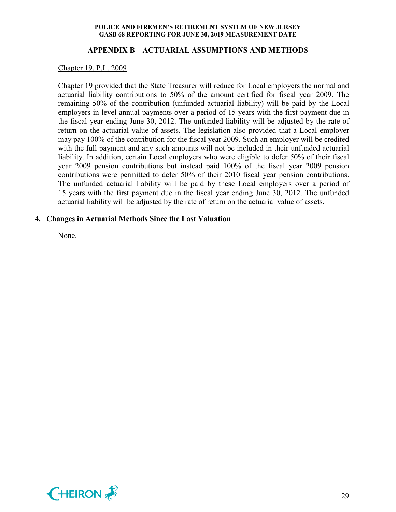#### **APPENDIX B – ACTUARIAL ASSUMPTIONS AND METHODS**

#### Chapter 19, P.L. 2009

Chapter 19 provided that the State Treasurer will reduce for Local employers the normal and actuarial liability contributions to 50% of the amount certified for fiscal year 2009. The remaining 50% of the contribution (unfunded actuarial liability) will be paid by the Local employers in level annual payments over a period of 15 years with the first payment due in the fiscal year ending June 30, 2012. The unfunded liability will be adjusted by the rate of return on the actuarial value of assets. The legislation also provided that a Local employer may pay 100% of the contribution for the fiscal year 2009. Such an employer will be credited with the full payment and any such amounts will not be included in their unfunded actuarial liability. In addition, certain Local employers who were eligible to defer 50% of their fiscal year 2009 pension contributions but instead paid 100% of the fiscal year 2009 pension contributions were permitted to defer 50% of their 2010 fiscal year pension contributions. The unfunded actuarial liability will be paid by these Local employers over a period of 15 years with the first payment due in the fiscal year ending June 30, 2012. The unfunded actuarial liability will be adjusted by the rate of return on the actuarial value of assets.

#### **4. Changes in Actuarial Methods Since the Last Valuation**

None.

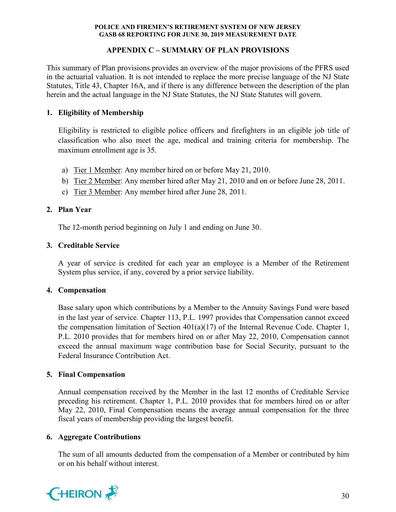# **APPENDIX C – SUMMARY OF PLAN PROVISIONS**

This summary of Plan provisions provides an overview of the major provisions of the PFRS used in the actuarial valuation. It is not intended to replace the more precise language of the NJ State Statutes, Title 43, Chapter 16A, and if there is any difference between the description of the plan herein and the actual language in the NJ State Statutes, the NJ State Statutes will govern.

# **1. Eligibility of Membership**

Eligibility is restricted to eligible police officers and firefighters in an eligible job title of classification who also meet the age, medical and training criteria for membership. The maximum enrollment age is 35.

- a) Tier 1 Member: Any member hired on or before May 21, 2010.
- b) Tier 2 Member: Any member hired after May 21, 2010 and on or before June 28, 2011.
- c) Tier 3 Member: Any member hired after June 28, 2011.

# **2. Plan Year**

The 12-month period beginning on July 1 and ending on June 30.

# **3. Creditable Service**

A year of service is credited for each year an employee is a Member of the Retirement System plus service, if any, covered by a prior service liability.

#### **4. Compensation**

Base salary upon which contributions by a Member to the Annuity Savings Fund were based in the last year of service. Chapter 113, P.L. 1997 provides that Compensation cannot exceed the compensation limitation of Section  $401(a)(17)$  of the Internal Revenue Code. Chapter 1, P.L. 2010 provides that for members hired on or after May 22, 2010, Compensation cannot exceed the annual maximum wage contribution base for Social Security, pursuant to the Federal Insurance Contribution Act.

#### **5. Final Compensation**

Annual compensation received by the Member in the last 12 months of Creditable Service preceding his retirement. Chapter 1, P.L. 2010 provides that for members hired on or after May 22, 2010, Final Compensation means the average annual compensation for the three fiscal years of membership providing the largest benefit.

#### **6. Aggregate Contributions**

The sum of all amounts deducted from the compensation of a Member or contributed by him or on his behalf without interest.

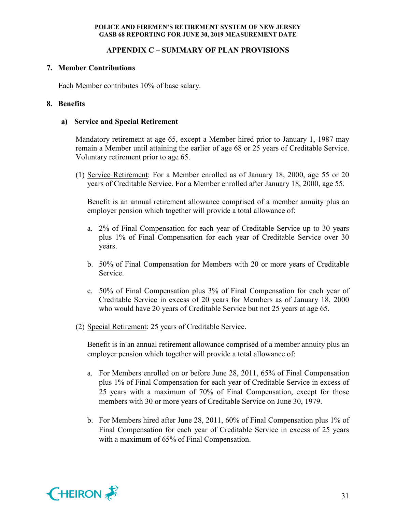# **APPENDIX C – SUMMARY OF PLAN PROVISIONS**

# **7. Member Contributions**

Each Member contributes 10% of base salary.

# **8. Benefits**

#### **a) Service and Special Retirement**

Mandatory retirement at age 65, except a Member hired prior to January 1, 1987 may remain a Member until attaining the earlier of age 68 or 25 years of Creditable Service. Voluntary retirement prior to age 65.

(1) Service Retirement: For a Member enrolled as of January 18, 2000, age 55 or 20 years of Creditable Service. For a Member enrolled after January 18, 2000, age 55.

Benefit is an annual retirement allowance comprised of a member annuity plus an employer pension which together will provide a total allowance of:

- a. 2% of Final Compensation for each year of Creditable Service up to 30 years plus 1% of Final Compensation for each year of Creditable Service over 30 years.
- b. 50% of Final Compensation for Members with 20 or more years of Creditable Service.
- c. 50% of Final Compensation plus 3% of Final Compensation for each year of Creditable Service in excess of 20 years for Members as of January 18, 2000 who would have 20 years of Creditable Service but not 25 years at age 65.
- (2) Special Retirement: 25 years of Creditable Service.

Benefit is in an annual retirement allowance comprised of a member annuity plus an employer pension which together will provide a total allowance of:

- a. For Members enrolled on or before June 28, 2011, 65% of Final Compensation plus 1% of Final Compensation for each year of Creditable Service in excess of 25 years with a maximum of 70% of Final Compensation, except for those members with 30 or more years of Creditable Service on June 30, 1979.
- b. For Members hired after June 28, 2011, 60% of Final Compensation plus 1% of Final Compensation for each year of Creditable Service in excess of 25 years with a maximum of 65% of Final Compensation.

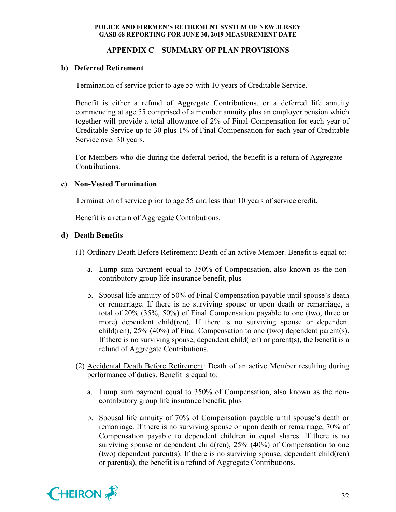# **APPENDIX C – SUMMARY OF PLAN PROVISIONS**

# **b) Deferred Retirement**

Termination of service prior to age 55 with 10 years of Creditable Service.

Benefit is either a refund of Aggregate Contributions, or a deferred life annuity commencing at age 55 comprised of a member annuity plus an employer pension which together will provide a total allowance of 2% of Final Compensation for each year of Creditable Service up to 30 plus 1% of Final Compensation for each year of Creditable Service over 30 years.

For Members who die during the deferral period, the benefit is a return of Aggregate Contributions.

# **c) Non-Vested Termination**

Termination of service prior to age 55 and less than 10 years of service credit.

Benefit is a return of Aggregate Contributions.

# **d) Death Benefits**

- (1) Ordinary Death Before Retirement: Death of an active Member. Benefit is equal to:
	- a. Lump sum payment equal to 350% of Compensation, also known as the noncontributory group life insurance benefit, plus
	- b. Spousal life annuity of 50% of Final Compensation payable until spouse's death or remarriage. If there is no surviving spouse or upon death or remarriage, a total of 20% (35%, 50%) of Final Compensation payable to one (two, three or more) dependent child(ren). If there is no surviving spouse or dependent child(ren),  $25\%$  (40%) of Final Compensation to one (two) dependent parent(s). If there is no surviving spouse, dependent child(ren) or parent(s), the benefit is a refund of Aggregate Contributions.
- (2) Accidental Death Before Retirement: Death of an active Member resulting during performance of duties. Benefit is equal to:
	- a. Lump sum payment equal to 350% of Compensation, also known as the noncontributory group life insurance benefit, plus
	- b. Spousal life annuity of 70% of Compensation payable until spouse's death or remarriage. If there is no surviving spouse or upon death or remarriage, 70% of Compensation payable to dependent children in equal shares. If there is no surviving spouse or dependent child(ren), 25% (40%) of Compensation to one (two) dependent parent(s). If there is no surviving spouse, dependent child(ren) or parent(s), the benefit is a refund of Aggregate Contributions.

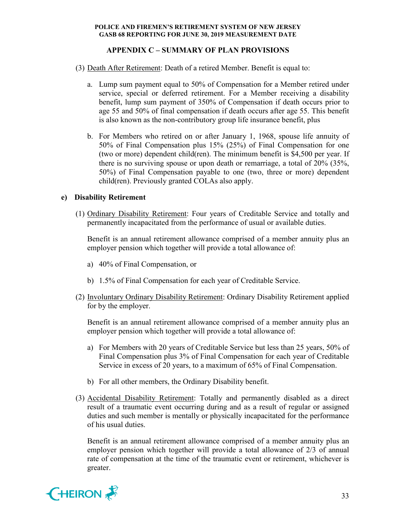# **APPENDIX C – SUMMARY OF PLAN PROVISIONS**

- (3) Death After Retirement: Death of a retired Member. Benefit is equal to:
	- a. Lump sum payment equal to 50% of Compensation for a Member retired under service, special or deferred retirement. For a Member receiving a disability benefit, lump sum payment of 350% of Compensation if death occurs prior to age 55 and 50% of final compensation if death occurs after age 55. This benefit is also known as the non-contributory group life insurance benefit, plus
	- b. For Members who retired on or after January 1, 1968, spouse life annuity of 50% of Final Compensation plus 15% (25%) of Final Compensation for one (two or more) dependent child(ren). The minimum benefit is \$4,500 per year. If there is no surviving spouse or upon death or remarriage, a total of 20% (35%, 50%) of Final Compensation payable to one (two, three or more) dependent child(ren). Previously granted COLAs also apply.

#### **e) Disability Retirement**

(1) Ordinary Disability Retirement: Four years of Creditable Service and totally and permanently incapacitated from the performance of usual or available duties.

Benefit is an annual retirement allowance comprised of a member annuity plus an employer pension which together will provide a total allowance of:

- a) 40% of Final Compensation, or
- b) 1.5% of Final Compensation for each year of Creditable Service.
- (2) Involuntary Ordinary Disability Retirement: Ordinary Disability Retirement applied for by the employer.

Benefit is an annual retirement allowance comprised of a member annuity plus an employer pension which together will provide a total allowance of:

- a) For Members with 20 years of Creditable Service but less than 25 years, 50% of Final Compensation plus 3% of Final Compensation for each year of Creditable Service in excess of 20 years, to a maximum of 65% of Final Compensation.
- b) For all other members, the Ordinary Disability benefit.
- (3) Accidental Disability Retirement: Totally and permanently disabled as a direct result of a traumatic event occurring during and as a result of regular or assigned duties and such member is mentally or physically incapacitated for the performance of his usual duties.

Benefit is an annual retirement allowance comprised of a member annuity plus an employer pension which together will provide a total allowance of 2/3 of annual rate of compensation at the time of the traumatic event or retirement, whichever is greater.

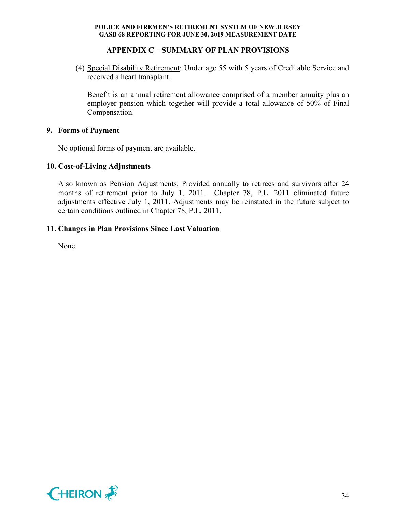# **APPENDIX C – SUMMARY OF PLAN PROVISIONS**

(4) Special Disability Retirement: Under age 55 with 5 years of Creditable Service and received a heart transplant.

Benefit is an annual retirement allowance comprised of a member annuity plus an employer pension which together will provide a total allowance of 50% of Final Compensation.

# **9. Forms of Payment**

No optional forms of payment are available.

# **10. Cost-of-Living Adjustments**

Also known as Pension Adjustments. Provided annually to retirees and survivors after 24 months of retirement prior to July 1, 2011. Chapter 78, P.L. 2011 eliminated future adjustments effective July 1, 2011. Adjustments may be reinstated in the future subject to certain conditions outlined in Chapter 78, P.L. 2011.

# **11. Changes in Plan Provisions Since Last Valuation**

None.

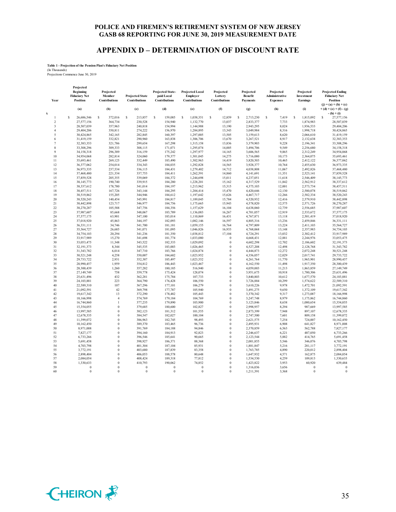#### **APPENDIX D – DETERMINATION OF DISCOUNT RATE**

# **Table 1 - Projection of the Pension Plan's Fiduciary Net Position** (In Thousands) Projections Commence June 30, 2019

| Year           | Projected<br>Beginning<br><b>Fiduciary Net</b><br>Position | Projected<br>Member<br>Contributions | <b>Projected State</b><br>Contributions | Projected State-<br>paid Local<br>Contributions | <b>Projected Local</b><br>Employer<br>Contributions | Projected<br>Lottery<br>Contributions | Projected<br>Benefit<br><b>Payments</b> | Projected<br>Administrative<br><b>Expenses</b> | Projected<br>Investment<br><b>Earnings</b> | <b>Projected Ending</b><br><b>Fiduciary Net</b><br>Position   |
|----------------|------------------------------------------------------------|--------------------------------------|-----------------------------------------|-------------------------------------------------|-----------------------------------------------------|---------------------------------------|-----------------------------------------|------------------------------------------------|--------------------------------------------|---------------------------------------------------------------|
| k              | (a)                                                        | (b)                                  | (c)                                     | (d)                                             | (e)                                                 | (f)                                   | (g)                                     | (h)                                            | (i)                                        | $(j) = (a) + (b) + (c)$<br>$+(d)+(e)+(f)-(g)$<br>$-(h) + (i)$ |
| $\mathbf{1}$   | s<br>26,686,546                                            | s<br>372,016                         | Ś<br>213,857                            | s<br>159,085                                    | s<br>1.038.351                                      | s<br>12,859                           | s<br>2.713.230                          | Ś<br>7.419                                     | s<br>1,815,092                             | s<br>27.577.156                                               |
| $\overline{c}$ | 27,577,156                                                 | 364,734                              | 230,528                                 | 154,940                                         | 1,132,770                                           | 13,037                                | 2,833,377                               | 7,733                                          | 1,874,983                                  | 28,507,039                                                    |
| $\sqrt{3}$     | 28,507,039                                                 | 357,963                              | 240,818                                 | 154,994                                         | 1,144,988                                           | 13,190                                | 2,943,295                               | 8,024                                          | 1,936,533                                  | 29,404,206                                                    |
| $\overline{4}$ | 29,404,206                                                 | 350,811                              | 274,222                                 | 156,970                                         | 1,284,895                                           | 13,343                                | 3,049,984                               | 8,316                                          | 1,998,718                                  | 30,424,865                                                    |
| 5              | 30,424,865                                                 | 342,165                              | 282,845                                 | 160,397                                         | 1,297,005                                           | 13,505                                | 3,159,613                               | 8,620                                          | 2,066,610                                  | 31,419,159                                                    |
| 6              | 31,419,159                                                 | 332,821                              | 290,960                                 | 163,838                                         | 1,306,706                                           | 13,670                                | 3,267,521                               | 8,917                                          | 2,132,638                                  | 32,383,353                                                    |
| $\overline{7}$ | 32,383,353                                                 | 321,786                              | 299,654                                 | 167,298                                         | 1,315,158                                           | 13,836                                | 3,379,903                               | 9,228                                          | 2,196,341                                  | 33,308,296                                                    |
| 8              | 33,308,296                                                 | 309,333                              | 308,115                                 | 171,071                                         | 1,295,074                                           | 14,005                                | 3,494,706                               | 9,549                                          | 2,256,680                                  | 34,158,318                                                    |
| $\mathbf{Q}$   | 34,158,318                                                 | 296,389                              | 316,159                                 | 175,242                                         | 1,297,977                                           | 14,165                                | 3,606,565                               | 9,865                                          | 2,312,249                                  | 34,954,068                                                    |
| $10$           | 34,954,068                                                 | 282,814                              | 324,060                                 | 179,377                                         | 1,301,045                                           | 14,275                                | 3,716,080                               | 10,173                                         | 2,364,075                                  | 35,693,461                                                    |
| 11             | 35,693,461                                                 | 269,125                              | 332,449                                 | 183,490                                         | 1,302,963                                           | 14,419                                | 3,820,503                               | 10,465                                         | 2,412,122                                  | 36,377,062                                                    |
| 12             | 36,377,062                                                 | 254,014                              | 334,343                                 | 184,035                                         | 1,292,828                                           | 14,565                                | 3,928,377                               | 10,764                                         | 2,455,630                                  | 36,973,335                                                    |
| 13             | 36,973,335                                                 | 237,534                              | 336,115                                 | 184,431                                         | 1,279,402                                           | 14,712                                | 4,038,808                               | 11,067                                         | 2,492,826                                  | 37,468,480                                                    |
| 14             | 37,468,480                                                 | 221,334                              | 337,753                                 | 184,411                                         | 1,262,591                                           | 14,860                                | 4,141,691                               | 11,351                                         | 2,523,141                                  | 37,859,528                                                    |
| 15             | 37,859,528                                                 | 205,355                              | 339,069                                 | 184,372                                         | 1,244,698                                           | 15,011                                | 4,237,051                               | 11,618                                         | 2,546,409                                  | 38,145,773                                                    |
| 16             | 38,145,773                                                 | 190,740                              | 339,915                                 | 184,280                                         | 1,228,201                                           | 15,162                                | 4,317,529                               | 11,842                                         | 2,562,912                                  | 38,337,612                                                    |
| 17             | 38,337,612                                                 | 178,780                              | 341,014                                 | 184,197                                         | 1,213,962                                           | 15,315                                | 4,375,103                               | 12,001                                         | 2,573,734                                  | 38,457,511                                                    |
| 18<br>19       | 38,457,511                                                 | 167,726                              | 343,144<br>344,946                      | 184,295                                         | 1,204,414<br>1,197,642                              | 15,470                                | 4,420,646                               | 12,130                                         | 2,580,078<br>2,582,334                     | 38,519,862<br>38,520,243                                      |
| 20             | 38,519,862<br>38,520,243                                   | 155,205<br>140,454                   | 345,991                                 | 184,612<br>184,817                              | 1,189,045                                           | 15,626<br>15,784                      | 4,467,717<br>4,520,932                  | 12,266<br>12,416                               | 2,579,910                                  | 38,442,898                                                    |
| 21             | 38,442,898                                                 | 123,717                              | 346,977                                 | 184,756                                         | 1,175,665                                           | 15,943                                | 4,578,820                               | 12,575                                         | 2,571,726                                  | 38,270,287                                                    |
| $22\,$         | 38,270,287                                                 | 105,588                              | 347,756                                 | 184,356                                         | 1,157,629                                           | 16,104                                | 4,638,060                               | 12,739                                         | 2,556,685                                  | 37,987,607                                                    |
| 23             | 37,987,607                                                 | 85,668                               | 348,067                                 | 183,789                                         | 1,136,083                                           | 16,267                                | 4,701,057                               | 12,919                                         | 2,533,672                                  | 37,577,175                                                    |
| 24             | 37,577,175                                                 | 63,901                               | 347,100                                 | 183,014                                         | 1,110,869                                           | 16,431                                | 4,767,871                               | 13,118                                         | 2,501,419                                  | 37,018,920                                                    |
| 25             | 37,018,920                                                 | 45,863                               | 344,197                                 | 182,093                                         | 1,082,146                                           | 16,597                                | 4,805,316                               | 13,236                                         | 2,459,846                                  | 36,331,111                                                    |
| 26             | 36,331,111                                                 | 34,746                               | 341,700                                 | 181,181                                         | 1,059,155                                           | 16,764                                | 4,797,809                               | 13,224                                         | 2,411,103                                  | 35,564,727                                                    |
| 27             | 35,564,727                                                 | 26,685                               | 341,071                                 | 181,095                                         | 1,046,826                                           | 16,933                                | 4,768,068                               | 13,148                                         | 2,357,983                                  | 34,754,103                                                    |
| 28             | 34,754,103                                                 | 20,294                               | 341,236                                 | 181,350                                         | 1,038,812                                           | 17,104                                | 4,724,291                               | 13,032                                         | 2,302,412                                  | 33,917,989                                                    |
| 29             | 33,917,989                                                 | 15,270                               | 341,698                                 | 181,774                                         | 1,033,080                                           | $\boldsymbol{0}$                      | 4,668,431                               | 12,881                                         | 2,244,976                                  | 33,053,475                                                    |
| 30             | 33,053,475                                                 | 11.348                               | 343.522                                 | 182,333                                         | 1,029,092                                           | $\theta$                              | 4,602,298                               | 12,702                                         | 2,186,602                                  | 32.191.373                                                    |
| 31             | 32,191,373                                                 | 8,344                                | 345,535                                 | 183,003                                         | 1,026,465                                           | $\mathbf{0}$                          | 4,527,208                               | 12,498                                         | 2,128,768                                  | 31,343,782                                                    |
| 32             | 31,343,782                                                 | 6,014                                | 347,710                                 | 183,766                                         | 1,024,874                                           | $\boldsymbol{0}$                      | 4,444,873                               | 12,272                                         | 2,072,248                                  | 30,521,248                                                    |
| 33             | 30,521,248                                                 | 4,258                                | 350,007                                 | 184,602                                         | 1,023,952                                           | $\boldsymbol{0}$                      | 4,356,057                               | 12,029                                         | 2,017,741                                  | 29,733,722                                                    |
| 34             | 29,733,722                                                 | 2,931                                | 352,387                                 | 185,497                                         | 1,023,552                                           | $\boldsymbol{0}$                      | 4,261,764                               | 11,770                                         | 1,965,901                                  | 28,990,457                                                    |
| 35             | 28,990,457                                                 | 1,959                                | 354,812                                 | 186,443                                         | 1,023,467                                           | $\mathbf{0}$                          | 4,162,550                               | 11,498                                         | 1,917,350                                  | 28,300,439                                                    |
| 36             | 28,300,439                                                 | 1,260                                | 357,282                                 | 180,185                                         | 516,940                                             | $\boldsymbol{0}$                      | 4,059,003                               | 11,213                                         | 1,863,859                                  | 27,149,749                                                    |
| 37             | 27,149,749                                                 | 758                                  | 359,778                                 | 175,424                                         | 128,074                                             | $\theta$                              | 3,951,675                               | 10,918                                         | 1,780,306                                  | 25,631,496                                                    |
| 38             | 25,631,496                                                 | 432                                  | 362,281                                 | 175,784                                         | 107,733                                             | $\theta$                              | 3,840,803                               | 10,612                                         | 1,677,570                                  | 24,103,881                                                    |
| 39             | 24,103,881                                                 | 223                                  | 364,790                                 | 176,428                                         | 106,550                                             | $\mathbf{0}$                          | 3,726,884                               | 10,299                                         | 1,574,622                                  | 22,589,310                                                    |
| 40             | 22,589,310                                                 | 107                                  | 367,296                                 | 177,101                                         | 106,279                                             | $\theta$                              | 3,610,226                               | 9,978                                          | 1,472,701                                  | 21,092,591                                                    |
| 41             | 21,092,591                                                 | 42                                   | 369,798                                 | 177,787                                         | 105,940                                             | $\mathbf{0}$                          | 3,491,275                               | 9,650                                          | 1,372,109                                  | 19,617,342                                                    |
| 42             | 19,617,342                                                 | 13                                   | 372,290                                 | 178,482                                         | 105,443                                             | $\boldsymbol{0}$                      | 3,370,342                               | 9,317                                          | 1,273,087                                  | 18,166,998                                                    |
| 43             | 18,166,998                                                 | $\overline{4}$                       | 374,769                                 | 179,184                                         | 104,769                                             | $\bf{0}$                              | 3,247,748                               | 8,979                                          | 1,175,862                                  | 16,744,860                                                    |
| 44             | 16,744,860                                                 | 1                                    | 377,235                                 | 179,890                                         | 103,900                                             | $\overline{0}$                        | 3,123,846                               | 8,638                                          | 1,080,654                                  | 15,354,055                                                    |
| 45             | 15,354,055                                                 | $\bf{0}$                             | 379,685                                 | 180,600                                         | 102,827                                             | $\theta$                              | 2,998,957                               | 8,294                                          | 987,669                                    | 13,997,585                                                    |
| 46             | 13,997,585                                                 | $\boldsymbol{0}$<br>$\bf{0}$         | 382,123                                 | 181,312                                         | 101,555                                             | $\overline{0}$<br>$\theta$            | 2,873,399                               | 7,948                                          | 897,107                                    | 12,678,335                                                    |
| 47<br>48       | 12,678,335<br>11,399,072                                   | $\theta$                             | 384,547<br>386,963                      | 182,027<br>182,745                              | 100,104<br>98,493                                   | $\mathbf{0}$                          | 2,747,500<br>2,621,575                  | 7,601<br>7,254                                 | 809,158<br>724,007                         | 11,399,072                                                    |
| 49             | 10,162,450                                                 | $\mathbf{0}$                         | 389,370                                 | 183,465                                         | 96,736                                              | $\mathbf{0}$                          | 2,495,931                               | 6,908                                          | 641,827                                    | 10,162,450<br>8,971,008                                       |
| 50             | 8,971,008                                                  | $\theta$                             | 391,769                                 | 184,188                                         | 94,846                                              | $\mathbf{0}$                          | 2,370,859                               | 6,563                                          | 562,788                                    | 7,827,177                                                     |
| 51             | 7,827,177                                                  | $\mathbf{0}$                         | 394,160                                 | 184,913                                         | 92,823                                              | $\bf{0}$                              | 2,246,637                               | 6,221                                          | 487,050                                    | 6,733,266                                                     |
| 52             | 6,733,266                                                  | $\theta$                             | 396,546                                 | 185,641                                         | 90,665                                              | $\mathbf{0}$                          | 2,123,544                               | 5,882                                          | 414,765                                    | 5,691,458                                                     |
| 53             | 5,691,458                                                  | $\theta$                             | 398,927                                 | 186,371                                         | 88,368                                              | $\boldsymbol{0}$                      | 2,001,855                               | 5,546                                          | 346,076                                    | 4,703,798                                                     |
| 54             | 4,703,798                                                  | $\bf{0}$                             | 401,304                                 | 187,104                                         | 85,931                                              | $\mathbf{0}$                          | 1,881,847                               | 5,216                                          | 281,117                                    | 3,772,191                                                     |
| 55             | 3,772,191                                                  | $\bf{0}$                             | 403,680                                 | 187,839                                         | 83,358                                              | $\theta$                              | 1,763,785                               | 4,890                                          | 220,012                                    | 2,898,404                                                     |
| 56             | 2,898,404                                                  | $\boldsymbol{0}$                     | 406,053                                 | 188,578                                         | 80,648                                              | $\overline{0}$                        | 1,647,932                               | 4,571                                          | 162,875                                    | 2,084,054                                                     |
| 57             | 2,084,054                                                  | $\bf{0}$                             | 408,424                                 | 189,318                                         | 77,812                                              | $\theta$                              | 1,534,530                               | 4,259                                          | 109,813                                    | 1,330,633                                                     |
| 58             | 1,330,633                                                  | $\theta$                             | 410,793                                 | 190,062                                         | 74,852                                              | $\mathbf{0}$                          | 1,423,822                               | 3,953                                          | 60,920                                     | 639,484                                                       |
| 59             | $\mathbf{0}$                                               | $\bf{0}$                             | $\theta$                                | $\mathbf{0}$                                    | $\theta$                                            | $\bf{0}$                              | 1,316,036                               | 3,656                                          | $\mathbf{0}$                               | $\bf{0}$                                                      |
| 60             | $\theta$                                                   | $\theta$                             | $\theta$                                | $\theta$                                        | $\mathbf{0}$                                        | $\theta$                              | 1,211,391                               | 3,368                                          | $\theta$                                   | $\overline{0}$                                                |
|                |                                                            |                                      |                                         |                                                 |                                                     |                                       |                                         |                                                |                                            |                                                               |

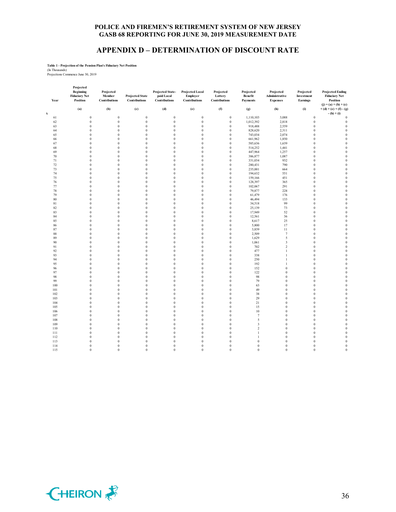#### **APPENDIX D – DETERMINATION OF DISCOUNT RATE**

# **Table 1 - Projection of the Pension Plan's Fiduciary Net Position** (In Thousands) Projections Commence June 30, 2019

| Year<br>k | Projected<br><b>Beginning</b><br><b>Fiduciary Net</b><br>Position<br>(a) | Projected<br>Member<br>Contributions<br>(b) | <b>Projected State</b><br>Contributions<br>(c) | Projected State-<br>paid Local<br>Contributions<br>(d) | <b>Projected Local</b><br>Employer<br>Contributions<br>(e) | Projected<br>Lottery<br>Contributions<br>(f) | Projected<br><b>Benefit</b><br><b>Payments</b><br>(g) | Projected<br>Administrative<br><b>Expenses</b><br>(h) | Projected<br>Investment<br>Earnings<br>(i) | <b>Projected Ending</b><br><b>Fiduciary Net</b><br>Position<br>$(i) = (a) + (b) + (c)$<br>$+(d)+(e)+(f)-(g)$<br>$-(h) + (i)$ |
|-----------|--------------------------------------------------------------------------|---------------------------------------------|------------------------------------------------|--------------------------------------------------------|------------------------------------------------------------|----------------------------------------------|-------------------------------------------------------|-------------------------------------------------------|--------------------------------------------|------------------------------------------------------------------------------------------------------------------------------|
| 61        | $\boldsymbol{0}$                                                         | $\boldsymbol{0}$                            | $\boldsymbol{0}$                               | $\boldsymbol{0}$                                       | $\boldsymbol{0}$                                           | $\boldsymbol{0}$                             | 1,110,103                                             | 3,088                                                 | $\boldsymbol{0}$                           | $\boldsymbol{0}$                                                                                                             |
| 62        | $\mathbf{0}$                                                             | $\bf{0}$                                    | $\mathbf{0}$                                   | $\mathbf{0}$                                           | $\mathbf{0}$                                               | $\mathbf{0}$                                 | 1,012,392                                             | 2,818                                                 | $\theta$                                   | $\bf{0}$                                                                                                                     |
| 63        | $\boldsymbol{0}$                                                         | $\boldsymbol{0}$                            | $\bf{0}$                                       | $\boldsymbol{0}$                                       | $\bf{0}$                                                   | $\boldsymbol{0}$                             | 918,488                                               | 2,559                                                 | $\boldsymbol{0}$                           | $\boldsymbol{0}$                                                                                                             |
| 64        | $\boldsymbol{0}$                                                         | $\boldsymbol{0}$                            | $\boldsymbol{0}$                               | $\boldsymbol{0}$                                       | $\boldsymbol{0}$                                           | $\boldsymbol{0}$                             | 828,620                                               | 2,311                                                 | $\boldsymbol{0}$                           | $\mathbf{0}$                                                                                                                 |
| 65        | $\boldsymbol{0}$                                                         | $\boldsymbol{0}$                            | $\bf{0}$                                       | $\boldsymbol{0}$                                       | $\boldsymbol{0}$                                           | $\boldsymbol{0}$                             | 743,034                                               | 2,074                                                 | $\boldsymbol{0}$                           | $\boldsymbol{0}$                                                                                                             |
| 66        | $\mathbf{0}$                                                             | $\boldsymbol{0}$                            | $\mathbf{0}$                                   | $\boldsymbol{0}$                                       | $\bf{0}$                                                   | $\mathbf{0}$                                 | 661,962                                               | 1,850                                                 | $\boldsymbol{0}$                           | $\mathbf{0}$                                                                                                                 |
| 67        | $\mathbf{0}$                                                             | $\boldsymbol{0}$                            | $\mathbf{0}$                                   | $\bf{0}$                                               | $\bf{0}$                                                   | $\boldsymbol{0}$                             | 585,636                                               | 1,639                                                 | $\boldsymbol{0}$                           | $\mathbf{0}$                                                                                                                 |
| 68        | $\mathbf{0}$                                                             | $\boldsymbol{0}$                            | $\mathbf{0}$                                   | $\boldsymbol{0}$                                       | $\bf{0}$                                                   | $\mathbf{0}$                                 | 514,252                                               | 1,441                                                 | $\boldsymbol{0}$                           | $\mathbf{0}$                                                                                                                 |
| 69        | $\boldsymbol{0}$                                                         | $\boldsymbol{0}$                            | $\bf{0}$                                       | $\boldsymbol{0}$                                       | $\bf{0}$                                                   | $\boldsymbol{0}$                             | 447,964                                               |                                                       | $\boldsymbol{0}$                           | $\boldsymbol{0}$                                                                                                             |
| 70        | $\boldsymbol{0}$                                                         | $\boldsymbol{0}$                            | $\mathbf{0}$                                   | $\boldsymbol{0}$                                       | $\boldsymbol{0}$                                           | $\bf{0}$                                     | 386,877                                               | 1,257<br>1,087                                        | $\boldsymbol{0}$                           | $\mathbf{0}$                                                                                                                 |
| 71        | $\boldsymbol{0}$                                                         | $\boldsymbol{0}$                            | $\boldsymbol{0}$                               | $\,0\,$                                                | $\bf{0}$                                                   | $\boldsymbol{0}$                             | 331,034                                               | 932                                                   | $\boldsymbol{0}$                           | $\boldsymbol{0}$                                                                                                             |
| $72\,$    | $\mathbf{0}$                                                             | $\bf{0}$                                    | $\mathbf{0}$                                   | $\boldsymbol{0}$                                       | $\bf{0}$                                                   | $\boldsymbol{0}$                             | 280,431                                               | 790                                                   | $\boldsymbol{0}$                           | $\mathbf{0}$                                                                                                                 |
| 73        | $\mathbf{0}$                                                             | $\boldsymbol{0}$                            | $\mathbf{0}$                                   | $\bf{0}$                                               | $\mathbf{0}$                                               | $\mathbf{0}$                                 | 235,001                                               | 664                                                   | $\boldsymbol{0}$                           | $\mathbf{0}$                                                                                                                 |
| 74        | $\mathbf{0}$                                                             | $\bf{0}$                                    | $\mathbf{0}$                                   | $\mathbf{0}$                                           | $\mathbf{0}$                                               | $\mathbf{0}$                                 | 194,632                                               | 551                                                   | $\boldsymbol{0}$                           | $\theta$                                                                                                                     |
| 75        | $\mathbf{0}$                                                             | $\bf{0}$                                    | $\mathbf{0}$                                   | $\mathbf{0}$                                           | $\mathbf{0}$                                               | $\mathbf{0}$                                 | 159,166                                               | 451                                                   | $\mathbf{0}$                               | $\mathbf{0}$                                                                                                                 |
| 76        | $\boldsymbol{0}$                                                         | $\boldsymbol{0}$                            | $\boldsymbol{0}$                               | $\boldsymbol{0}$                                       | $\boldsymbol{0}$                                           | $\boldsymbol{0}$                             | 128,397                                               | 365                                                   | $\boldsymbol{0}$                           | $\boldsymbol{0}$                                                                                                             |
| 77        | $\mathbf{0}$                                                             | $\bf{0}$                                    | $\mathbf{0}$                                   | $\boldsymbol{0}$                                       | $\mathbf{0}$                                               | $\boldsymbol{0}$                             | 102,067                                               | 291                                                   | $\boldsymbol{0}$                           | $\mathbf{0}$                                                                                                                 |
| $78\,$    | $\boldsymbol{0}$                                                         | $\boldsymbol{0}$                            | $\boldsymbol{0}$                               | $\boldsymbol{0}$                                       | $\bf{0}$                                                   | $\bf{0}$                                     | 79,877                                                | 228                                                   | $\boldsymbol{0}$                           | $\boldsymbol{0}$                                                                                                             |
| 79        | $\mathbf{0}$                                                             | $\bf{0}$                                    | $\mathbf{0}$                                   | $\mathbf{0}$                                           | $\mathbf{0}$                                               | $\mathbf{0}$                                 | 61,479                                                | 176                                                   | $\theta$                                   | $\mathbf{0}$                                                                                                                 |
| 80        | $\boldsymbol{0}$                                                         | $\boldsymbol{0}$                            | $\bf{0}$                                       | $\boldsymbol{0}$                                       | $\bf{0}$                                                   | $\boldsymbol{0}$                             | 46,494                                                | 133                                                   | $\boldsymbol{0}$                           | $\boldsymbol{0}$                                                                                                             |
| 81        | $\boldsymbol{0}$                                                         | $\boldsymbol{0}$                            | $\boldsymbol{0}$                               | $\boldsymbol{0}$                                       | $\boldsymbol{0}$                                           | $\boldsymbol{0}$                             | 34,518                                                | 99                                                    | $\boldsymbol{0}$                           | $\mathbf{0}$                                                                                                                 |
| 82        | $\boldsymbol{0}$                                                         | $\boldsymbol{0}$                            | $\bf{0}$                                       | $\boldsymbol{0}$                                       | $\boldsymbol{0}$                                           | $\boldsymbol{0}$                             | 25,139                                                | 73                                                    | $\boldsymbol{0}$                           | $\boldsymbol{0}$                                                                                                             |
| 83        | $\boldsymbol{0}$                                                         | $\boldsymbol{0}$                            | $\mathbf{0}$                                   | $\boldsymbol{0}$                                       | $\boldsymbol{0}$                                           | $\mathbf{0}$                                 | 17,949                                                | 52                                                    | $\boldsymbol{0}$                           | $\boldsymbol{0}$                                                                                                             |
| 84        | $\mathbf{0}$                                                             | $\bf{0}$                                    | $\mathbf{0}$                                   | $\mathbf{0}$                                           | $\bf{0}$                                                   | $\mathbf{0}$                                 | 12,561                                                | 36                                                    | $\boldsymbol{0}$                           | $\boldsymbol{0}$                                                                                                             |
| 85        | $\mathbf{0}$                                                             | $\bf{0}$                                    | $\mathbf{0}$                                   | $\mathbf{0}$                                           | $\mathbf{0}$                                               | $\mathbf{0}$                                 | 8,617                                                 | 25                                                    | $\boldsymbol{0}$                           | $\mathbf{0}$                                                                                                                 |
| 86        | $\boldsymbol{0}$                                                         | $\boldsymbol{0}$                            | $\boldsymbol{0}$                               | $\bf{0}$                                               | $\bf{0}$                                                   | $\boldsymbol{0}$                             | 5,800                                                 | 17                                                    | $\boldsymbol{0}$                           | $\boldsymbol{0}$                                                                                                             |
| 87        | $\boldsymbol{0}$                                                         | $\boldsymbol{0}$                            | $\mathbf{0}$                                   | $\boldsymbol{0}$                                       | $\boldsymbol{0}$                                           | $\boldsymbol{0}$                             | 3,839                                                 | 11                                                    | $\boldsymbol{0}$                           | $\mathbf{0}$                                                                                                                 |
| $88\,$    | $\boldsymbol{0}$                                                         | $\boldsymbol{0}$                            | $\boldsymbol{0}$                               | $\boldsymbol{0}$                                       | $\boldsymbol{0}$                                           | $\boldsymbol{0}$                             | 2,509                                                 | $\boldsymbol{7}$                                      | $\boldsymbol{0}$                           | $\boldsymbol{0}$                                                                                                             |
| 89        | $\mathbf{0}$                                                             | $\mathbf{0}$                                | $\mathbf{0}$                                   | $\boldsymbol{0}$                                       | $\bf{0}$                                                   | $\mathbf{0}$                                 | 1,629                                                 | 5                                                     | $\boldsymbol{0}$                           | $\mathbf{0}$                                                                                                                 |
| 90        | $\boldsymbol{0}$                                                         | $\boldsymbol{0}$                            | $\bf{0}$                                       | $\bf{0}$                                               | $\bf{0}$                                                   | $\bf{0}$                                     | 1,061                                                 | 3                                                     | $\boldsymbol{0}$                           | $\boldsymbol{0}$                                                                                                             |
| 91        | $\boldsymbol{0}$                                                         | $\boldsymbol{0}$                            | $\bf{0}$                                       | $\bf{0}$                                               | $\bf{0}$                                                   | $\boldsymbol{0}$                             | 702                                                   | $\sqrt{2}$                                            | $\boldsymbol{0}$                           | $\mathbf{0}$                                                                                                                 |
| 92        | $\boldsymbol{0}$                                                         | $\boldsymbol{0}$                            | $\bf{0}$                                       | $\boldsymbol{0}$                                       | $\bf{0}$                                                   | $\boldsymbol{0}$                             | 477                                                   | $\,1$                                                 | $\boldsymbol{0}$                           | $\boldsymbol{0}$                                                                                                             |
| 93        | $\boldsymbol{0}$                                                         | $\boldsymbol{0}$                            | $\boldsymbol{0}$                               | $\boldsymbol{0}$                                       | $\boldsymbol{0}$                                           | $\boldsymbol{0}$                             | 338                                                   | $\mathbf{1}$                                          | $\boldsymbol{0}$                           | $\boldsymbol{0}$                                                                                                             |
| 94        | $\mathbf{0}$                                                             | $\mathbf{0}$                                | $\mathbf{0}$                                   | $\mathbf{0}$                                           | $\mathbf{0}$                                               | $\mathbf{0}$                                 | 250                                                   | $\mathbf{1}$                                          | $\theta$                                   | $\mathbf{0}$                                                                                                                 |
| 95        | $\mathbf{0}$                                                             | $\boldsymbol{0}$                            | $\mathbf{0}$                                   | $\bf{0}$                                               | $\bf{0}$                                                   | $\bf{0}$                                     | 192                                                   | $\mathbf{1}$                                          | $\boldsymbol{0}$                           | $\boldsymbol{0}$                                                                                                             |
| 96        | $\mathbf{0}$                                                             | $\mathbf{0}$                                | $\mathbf{0}$                                   | $\mathbf{0}$                                           | $\mathbf{0}$                                               | $\mathbf{0}$                                 | 152                                                   | $\mathbf{0}$                                          | $\theta$                                   | $\mathbf{0}$                                                                                                                 |
| 97        | $\boldsymbol{0}$                                                         | $\boldsymbol{0}$                            | $\bf{0}$                                       | $\boldsymbol{0}$                                       | $\bf{0}$                                                   | $\boldsymbol{0}$                             | 122                                                   | $\boldsymbol{0}$                                      | $\boldsymbol{0}$                           | $\mathbf{0}$                                                                                                                 |
| 98        | $\boldsymbol{0}$                                                         | $\boldsymbol{0}$                            | $\boldsymbol{0}$                               | $\boldsymbol{0}$                                       | $\boldsymbol{0}$                                           | $\boldsymbol{0}$                             | 98                                                    | $\mathbf{0}$                                          | $\boldsymbol{0}$                           | $\mathbf{0}$                                                                                                                 |
| 99        | $\boldsymbol{0}$                                                         | $\boldsymbol{0}$                            | $\mathbf{0}$                                   | $\bf{0}$                                               | $\bf{0}$                                                   | $\bf{0}$                                     | 79                                                    | $\boldsymbol{0}$                                      | $\bf{0}$                                   | $\boldsymbol{0}$                                                                                                             |
| 100       | $\mathbf{0}$                                                             | $\boldsymbol{0}$                            | $\mathbf{0}$                                   | $\boldsymbol{0}$                                       | $\boldsymbol{0}$                                           | $\mathbf{0}$                                 | 63                                                    | $\boldsymbol{0}$                                      | $\boldsymbol{0}$                           | $\mathbf{0}$                                                                                                                 |
| 101       | $\mathbf{0}$                                                             | $\boldsymbol{0}$                            | $\mathbf{0}$                                   | $\bf{0}$                                               | $\bf{0}$                                                   | $\boldsymbol{0}$                             | 49                                                    | $\boldsymbol{0}$                                      | $\boldsymbol{0}$                           | $\mathbf{0}$                                                                                                                 |
| 102       | $\mathbf{0}$                                                             | $\bf{0}$                                    | $\mathbf{0}$                                   | $\mathbf{0}$                                           | $\mathbf{0}$                                               | $\mathbf{0}$                                 | 38                                                    | $\mathbf{0}$                                          | $\boldsymbol{0}$                           | $\mathbf{0}$                                                                                                                 |
| 103       | $\boldsymbol{0}$                                                         | $\boldsymbol{0}$                            | $\boldsymbol{0}$                               | $\boldsymbol{0}$                                       | $\bf{0}$                                                   | $\boldsymbol{0}$                             | 29                                                    | $\boldsymbol{0}$                                      | $\boldsymbol{0}$                           | $\boldsymbol{0}$                                                                                                             |
| 104       | $\mathbf{0}$                                                             | $\mathbf{0}$                                | $\mathbf{0}$                                   | $\boldsymbol{0}$                                       | $\boldsymbol{0}$                                           | $\boldsymbol{0}$                             | 21                                                    | $\boldsymbol{0}$                                      | $\boldsymbol{0}$                           | $\mathbf{0}$                                                                                                                 |
| 105       | $\boldsymbol{0}$                                                         | $\boldsymbol{0}$                            | $\boldsymbol{0}$                               | $\boldsymbol{0}$                                       | $\boldsymbol{0}$                                           | $\boldsymbol{0}$                             | 15                                                    | $\boldsymbol{0}$                                      | $\boldsymbol{0}$                           | $\boldsymbol{0}$                                                                                                             |
| 106       | $\mathbf{0}$                                                             | $\mathbf{0}$                                | $\mathbf{0}$                                   | $\boldsymbol{0}$                                       | $\bf{0}$                                                   | $\mathbf{0}$                                 | 10                                                    | $\boldsymbol{0}$                                      | $\boldsymbol{0}$                           | $\mathbf{0}$                                                                                                                 |
| 107       | $\boldsymbol{0}$                                                         | $\boldsymbol{0}$                            | $\bf{0}$                                       | $\bf{0}$                                               | $\bf{0}$                                                   | $\bf{0}$                                     | 7                                                     | $\bf{0}$                                              | $\boldsymbol{0}$                           | $\boldsymbol{0}$                                                                                                             |
| 108       | $\boldsymbol{0}$                                                         | $\boldsymbol{0}$                            | $\boldsymbol{0}$                               | $\boldsymbol{0}$                                       | $\boldsymbol{0}$                                           | $\boldsymbol{0}$                             | 5                                                     | $\boldsymbol{0}$                                      | $\boldsymbol{0}$                           | $\mathbf{0}$                                                                                                                 |
| 109       | $\boldsymbol{0}$                                                         | $\boldsymbol{0}$                            | $\bf{0}$                                       | $\boldsymbol{0}$                                       | $\bf{0}$                                                   | $\boldsymbol{0}$                             | 3                                                     | $\boldsymbol{0}$                                      | $\boldsymbol{0}$                           | $\boldsymbol{0}$                                                                                                             |
| 110       | $\boldsymbol{0}$                                                         | $\boldsymbol{0}$                            | $\boldsymbol{0}$                               | $\boldsymbol{0}$                                       | $\boldsymbol{0}$                                           | $\boldsymbol{0}$                             | $\sqrt{2}$                                            | $\boldsymbol{0}$                                      | $\boldsymbol{0}$                           | $\boldsymbol{0}$                                                                                                             |
| 111       | $\boldsymbol{0}$                                                         | $\boldsymbol{0}$                            | $\mathbf{0}$                                   | $\bf{0}$                                               | $\bf{0}$                                                   | $\boldsymbol{0}$                             | $\mathbf{1}$                                          | $\boldsymbol{0}$                                      | $\bf{0}$                                   | $\bf{0}$                                                                                                                     |
| 112       | $\bf{0}$                                                                 | $\boldsymbol{0}$                            | $\mathbf{0}$                                   | $\mathbf{0}$                                           | $\bf{0}$                                                   | $\mathbf{0}$                                 | $\mathbf{1}$                                          | $\mathbf{0}$                                          | $\boldsymbol{0}$                           | $\theta$                                                                                                                     |
| 113       | $\mathbf{0}$                                                             | $\mathbf{0}$                                | $\mathbf{0}$                                   | $\mathbf{0}$                                           | $\mathbf{0}$                                               | $\mathbf{0}$                                 | $\mathbf{0}$                                          | $\mathbf{0}$                                          | $\theta$                                   | $\mathbf{0}$                                                                                                                 |
| 114       | $\boldsymbol{0}$                                                         | $\boldsymbol{0}$                            | $\bf{0}$                                       | $\boldsymbol{0}$                                       | $\boldsymbol{0}$                                           | $\boldsymbol{0}$                             | $\bf{0}$                                              | $\boldsymbol{0}$                                      | $\boldsymbol{0}$                           | $\boldsymbol{0}$                                                                                                             |
| 115       | $\mathbf{0}$                                                             | $\boldsymbol{0}$                            | $\mathbf{0}$                                   | $\,0\,$                                                | $\mathbf{0}$                                               | $\mathbf{0}$                                 | $\boldsymbol{0}$                                      | $\mathbf{0}$                                          | $\boldsymbol{0}$                           | $\boldsymbol{0}$                                                                                                             |

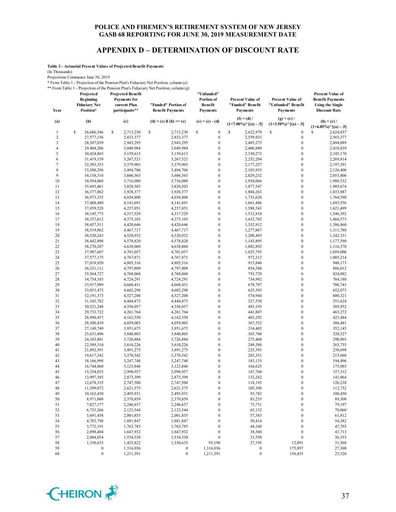#### **APPENDIX D – DETERMINATION OF DISCOUNT RATE**

**Table 2 - Actuarial Present Values of Projected Benefit Payments**

(In Thousands)

Projections Commence June 30, 2019

\* From Table 1 - Projection of the Pension Plan's Fiduciary Net Position, column (a) \*\* From Table 1 - Projection of the Pension Plan's Fiduciary Net Position, column (g)

**Projected Projected Benefit** 

| Year                    | Projected<br><b>Beginning</b><br><b>Fiduciary Net</b><br>Position* | <b>Projected Benefit</b><br><b>Payments for</b><br>current Plan<br>participants** | "Funded" Portion of<br><b>Benefit Payments</b> | "Unfunded"<br>Portion of<br><b>Benefit</b><br><b>Payments</b> | <b>Present Value of</b><br>"Funded" Benefit<br><b>Payments</b>          | <b>Present Value of</b><br>"Unfunded" Benefit<br><b>Payments</b> | <b>Present Value of</b><br><b>Benefit Payments</b><br><b>Using the Single</b><br><b>Discount Rate</b> |  |
|-------------------------|--------------------------------------------------------------------|-----------------------------------------------------------------------------------|------------------------------------------------|---------------------------------------------------------------|-------------------------------------------------------------------------|------------------------------------------------------------------|-------------------------------------------------------------------------------------------------------|--|
| (a)                     | (b)                                                                | (c)                                                                               | (d) = (c) if (b) >= (c)                        | $(e) = (c) - (d)$                                             | $(f) = (d) /$<br>$(1+7.00\%)$ <sup><math>\wedge</math></sup> [(a) - .5] | $(g) = (e) /$<br>$(1+3.50\%)$ $\cap$ $[(a) - .5]$                | $(h) = (c) /$<br>$(1+6.85\%)$ $\{(\mathbf{a}) - .5\}$                                                 |  |
| 1                       | $\mathbb{S}$<br>26,686,546                                         | \$<br>2,713,230                                                                   | \$<br>2,713,230                                | \$<br>$\boldsymbol{0}$                                        | S<br>2,622,979                                                          | \$<br>$\boldsymbol{0}$                                           | S<br>2,624,837                                                                                        |  |
| $\overline{\mathbf{c}}$ | 27,577,156                                                         | 2,833,377                                                                         | 2,833,377                                      | $\boldsymbol{0}$                                              | 2,559,933                                                               | $\boldsymbol{0}$                                                 | 2,565,377                                                                                             |  |
| 3                       | 28,507,039                                                         | 2,943,295                                                                         | 2,943,295                                      | $\boldsymbol{0}$                                              | 2,485,275                                                               | $\boldsymbol{0}$                                                 | 2,494,089                                                                                             |  |
| $\overline{4}$          | 29,404,206                                                         | 3,049,984                                                                         | 3,049,984                                      | $\boldsymbol{0}$                                              | 2,406,880                                                               | $\boldsymbol{0}$                                                 | 2,418,839                                                                                             |  |
| 5                       | 30,424,865                                                         | 3,159,613                                                                         | 3,159,613                                      | $\boldsymbol{0}$                                              | 2,330,273                                                               | $\boldsymbol{0}$                                                 | 2,345,170                                                                                             |  |
| 6                       | 31,419,159                                                         | 3,267,521                                                                         | 3,267,521                                      | $\boldsymbol{0}$                                              | 2,252,204                                                               | $\boldsymbol{0}$                                                 | 2,269,814                                                                                             |  |
| $\overline{7}$          | 32,383,353                                                         | 3,379,903                                                                         | 3,379,903                                      | $\boldsymbol{0}$                                              | 2,177,257                                                               | $\boldsymbol{0}$                                                 | 2,197,391                                                                                             |  |
| 8                       | 33,308,296                                                         | 3,494,706                                                                         | 3,494,706                                      | $\boldsymbol{0}$                                              | 2,103,935                                                               | $\mathbf 0$                                                      | 2,126,400                                                                                             |  |
| 9                       | 34,158,318                                                         | 3,606,565                                                                         | 3,606,565                                      | $\boldsymbol{0}$                                              | 2,029,232                                                               | $\boldsymbol{0}$                                                 | 2,053,806                                                                                             |  |
| 10                      | 34,954,068                                                         | 3,716,080                                                                         | 3,716,080                                      | $\boldsymbol{0}$                                              | 1,954,066                                                               | $\boldsymbol{0}$                                                 | 1,980,532                                                                                             |  |
| 11                      | 35,693,461                                                         | 3,820,503                                                                         | 3,820,503                                      | $\boldsymbol{0}$                                              | 1,877,547                                                               | $\boldsymbol{0}$                                                 | 1,905,674                                                                                             |  |
| 12                      | 36,377,062                                                         | 3,928,377                                                                         | 3,928,377                                      | $\boldsymbol{0}$                                              | 1,804,263                                                               | $\boldsymbol{0}$                                                 | 1,833,887                                                                                             |  |
| 13                      | 36,973,335                                                         | 4,038,808                                                                         | 4,038,808                                      | $\boldsymbol{0}$                                              | 1,733,628                                                               | $\boldsymbol{0}$                                                 | 1,764,590                                                                                             |  |
| 14                      | 37,468,480                                                         | 4,141,691                                                                         | 4,141,691                                      | $\boldsymbol{0}$                                              | 1,661,486                                                               | $\boldsymbol{0}$                                                 | 1,693,556                                                                                             |  |
| 15                      | 37,859,528                                                         | 4,237,051                                                                         | 4,237,051                                      | $\boldsymbol{0}$                                              | 1,588,543                                                               | $\boldsymbol{0}$                                                 | 1,621,499                                                                                             |  |
| 16                      | 38, 145, 773                                                       | 4,317,529                                                                         | 4,317,529                                      | $\boldsymbol{0}$                                              | 1,512,818                                                               | $\boldsymbol{0}$                                                 | 1,546,392                                                                                             |  |
| 17                      | 38,337,612                                                         | 4,375,103                                                                         | 4,375,103                                      | $\boldsymbol{0}$                                              | 1,432,702                                                               | $\boldsymbol{0}$                                                 | 1,466,573                                                                                             |  |
| 18                      | 38,457,511                                                         | 4,420,646                                                                         | 4,420,646                                      | $\boldsymbol{0}$                                              | 1,352,912                                                               | $\boldsymbol{0}$                                                 | 1,386,860                                                                                             |  |
| 19                      | 38,519,862                                                         | 4,467,717                                                                         | 4,467,717                                      | $\boldsymbol{0}$                                              | 1,277,867                                                               | $\boldsymbol{0}$                                                 | 1,311,788                                                                                             |  |
| 20                      | 38,520,243                                                         | 4,520,932                                                                         | 4,520,932                                      | $\boldsymbol{0}$                                              | 1,208,493                                                               | $\boldsymbol{0}$                                                 | 1,242,331                                                                                             |  |
| 21                      | 38,442,898                                                         | 4,578,820                                                                         | 4,578,820                                      | $\boldsymbol{0}$                                              | 1,143,895                                                               | $\boldsymbol{0}$                                                 | 1,177,590                                                                                             |  |
| 22                      | 38,270,287                                                         | 4,638,060                                                                         | 4,638,060                                      | $\boldsymbol{0}$                                              | 1,082,892                                                               | $\boldsymbol{0}$                                                 | 1,116,370                                                                                             |  |
| 23                      | 37,987,607                                                         | 4,701,057                                                                         | 4,701,057                                      | $\boldsymbol{0}$                                              | 1,025,795                                                               | $\boldsymbol{0}$                                                 | 1,059,006                                                                                             |  |
| 24                      | 37,577,175                                                         |                                                                                   |                                                | $\boldsymbol{0}$                                              |                                                                         | $\boldsymbol{0}$                                                 |                                                                                                       |  |
|                         |                                                                    | 4,767,871                                                                         | 4,767,871                                      | $\boldsymbol{0}$                                              | 972,312                                                                 | $\boldsymbol{0}$                                                 | 1,005,214                                                                                             |  |
| 25                      | 37,018,920                                                         | 4,805,316                                                                         | 4,805,316                                      |                                                               | 915,840                                                                 |                                                                  | 948,173                                                                                               |  |
| 26                      | 36,331,111                                                         | 4,797,809                                                                         | 4,797,809                                      | $\boldsymbol{0}$                                              | 854,588                                                                 | $\boldsymbol{0}$                                                 | 886,012                                                                                               |  |
| 27                      | 35,564,727                                                         | 4,768,068                                                                         | 4,768,068                                      | $\boldsymbol{0}$                                              | 793,729                                                                 | $\boldsymbol{0}$                                                 | 824,082                                                                                               |  |
| 28                      | 34,754,103                                                         | 4,724,291                                                                         | 4,724,291                                      | $\boldsymbol{0}$                                              | 734,992                                                                 | $\boldsymbol{0}$                                                 | 764,180                                                                                               |  |
| 29                      | 33,917,989                                                         | 4,668,431                                                                         | 4,668,431                                      | $\boldsymbol{0}$                                              | 678,787                                                                 | $\boldsymbol{0}$                                                 | 706,743                                                                                               |  |
| 30                      | 33,053,475                                                         | 4,602,298                                                                         | 4,602,298                                      | $\boldsymbol{0}$                                              | 625,393                                                                 | $\boldsymbol{0}$                                                 | 652,073                                                                                               |  |
| 31                      | 32, 191, 373                                                       | 4,527,208                                                                         | 4,527,208                                      | $\boldsymbol{0}$                                              | 574,944                                                                 | $\boldsymbol{0}$                                                 | 600,321                                                                                               |  |
| 32                      | 31, 343, 782                                                       | 4,444,873                                                                         | 4,444,873                                      | $\boldsymbol{0}$                                              | 527,558                                                                 | $\boldsymbol{0}$                                                 | 551,624                                                                                               |  |
| 33                      | 30,521,248                                                         | 4,356,057                                                                         | 4,356,057                                      | $\boldsymbol{0}$                                              | 483,193                                                                 | $\boldsymbol{0}$                                                 | 505,952                                                                                               |  |
| 34                      | 29,733,722                                                         | 4,261,764                                                                         | 4,261,764                                      | $\boldsymbol{0}$                                              | 441,807                                                                 | $\boldsymbol{0}$                                                 | 463,272                                                                                               |  |
| 35                      | 28,990,457                                                         | 4,162,550                                                                         | 4,162,550                                      | $\boldsymbol{0}$                                              | 403,292                                                                 | $\boldsymbol{0}$                                                 | 423,484                                                                                               |  |
| 36                      | 28,300,439                                                         | 4,059,003                                                                         | 4,059,003                                      | $\boldsymbol{0}$                                              | 367,532                                                                 | $\boldsymbol{0}$                                                 | 386,481                                                                                               |  |
| 37                      | 27,149,749                                                         | 3,951,675                                                                         | 3,951,675                                      | $\boldsymbol{0}$                                              | 334,405                                                                 | $\boldsymbol{0}$                                                 | 352,145                                                                                               |  |
| 38                      | 25,631,496                                                         | 3,840,803                                                                         | 3,840,803                                      | $\boldsymbol{0}$                                              | 303,760                                                                 | $\boldsymbol{0}$                                                 | 320,327                                                                                               |  |
| 39                      | 24, 103, 881                                                       | 3,726,884                                                                         | 3,726,884                                      | $\boldsymbol{0}$                                              | 275,468                                                                 | $\boldsymbol{0}$                                                 | 290,903                                                                                               |  |
| 40                      | 22,589,310                                                         | 3,610,226                                                                         | 3,610,226                                      | $\boldsymbol{0}$                                              | 249,388                                                                 | $\boldsymbol{0}$                                                 | 263,735                                                                                               |  |
| 41                      | 21,092,591                                                         | 3,491,275                                                                         | 3,491,275                                      | $\boldsymbol{0}$                                              | 225,393                                                                 | $\boldsymbol{0}$                                                 | 238,698                                                                                               |  |
| 42                      | 19,617,342                                                         | 3,370,342                                                                         | 3,370,342                                      | $\boldsymbol{0}$                                              | 203,351                                                                 | $\boldsymbol{0}$                                                 | 215,660                                                                                               |  |
| 43                      | 18,166,998                                                         | 3,247,748                                                                         | 3,247,748                                      | $\boldsymbol{0}$                                              | 183,135                                                                 | $\boldsymbol{0}$                                                 | 194,496                                                                                               |  |
| 44                      | 16,744,860                                                         | 3,123,846                                                                         | 3,123,846                                      | $\boldsymbol{0}$                                              | 164,625                                                                 | $\boldsymbol{0}$                                                 | 175,085                                                                                               |  |
| 45                      | 15,354,055                                                         | 2,998,957                                                                         | 2,998,957                                      | $\boldsymbol{0}$                                              | 147,704                                                                 | $\boldsymbol{0}$                                                 | 157,312                                                                                               |  |
| 46                      | 13,997,585                                                         | 2,873,399                                                                         | 2,873,399                                      | $\boldsymbol{0}$                                              | 132,262                                                                 | $\boldsymbol{0}$                                                 | 141,064                                                                                               |  |
| 47                      | 12,678,335                                                         | 2,747,500                                                                         | 2,747,500                                      | $\bf{0}$                                                      | 118,193                                                                 | $\boldsymbol{0}$                                                 | 126,238                                                                                               |  |
| 48                      | 11,399,072                                                         | 2,621,575                                                                         | 2,621,575                                      | $\boldsymbol{0}$                                              | 105,398                                                                 | $\boldsymbol{0}$                                                 | 112,732                                                                                               |  |
| 49                      | 10,162,450                                                         | 2,495,931                                                                         | 2,495,931                                      | $\boldsymbol{0}$                                              | 93,782                                                                  | $\boldsymbol{0}$                                                 | 100,450                                                                                               |  |
| 50                      | 8,971,008                                                          | 2,370,859                                                                         | 2,370,859                                      | $\boldsymbol{0}$                                              | 83,255                                                                  | $\boldsymbol{0}$                                                 | 89,300                                                                                                |  |
| 51                      | 7,827,177                                                          | 2,246,637                                                                         | 2,246,637                                      | $\boldsymbol{0}$                                              | 73,731                                                                  | $\boldsymbol{0}$                                                 | 79,197                                                                                                |  |
| 52                      | 6,733,266                                                          | 2,123,544                                                                         | 2,123,544                                      | $\boldsymbol{0}$                                              | 65,132                                                                  | $\boldsymbol{0}$                                                 | 70,060                                                                                                |  |
| 53                      | 5,691,458                                                          | 2,001,855                                                                         | 2,001,855                                      | $\boldsymbol{0}$                                              | 57,383                                                                  | $\boldsymbol{0}$                                                 | 61,812                                                                                                |  |
| 54                      | 4,703,798                                                          | 1,881,847                                                                         | 1,881,847                                      | $\boldsymbol{0}$                                              | 50,414                                                                  | $\boldsymbol{0}$                                                 | 54,382                                                                                                |  |
| 55                      | 3,772,191                                                          | 1,763,785                                                                         | 1,763,785                                      | $\boldsymbol{0}$                                              | 44,160                                                                  | $\boldsymbol{0}$                                                 | 47,703                                                                                                |  |
| 56                      | 2,898,404                                                          | 1,647,932                                                                         | 1,647,932                                      | $\boldsymbol{0}$                                              | 38,560                                                                  | $\boldsymbol{0}$                                                 | 41,713                                                                                                |  |
| 57                      | 2,084,054                                                          | 1,534,530                                                                         | 1,534,530                                      | $\boldsymbol{0}$                                              | 33,558                                                                  | $\boldsymbol{0}$                                                 | 36,353                                                                                                |  |
| 58                      | 1,330,633                                                          | 1,423,822                                                                         | 1,330,633                                      | 93,190                                                        | 27,195                                                                  | 12,891                                                           | 31,568                                                                                                |  |
| 59                      | $\boldsymbol{0}$                                                   | 1,316,036                                                                         | $\boldsymbol{0}$                               | 1,316,036                                                     | $\boldsymbol{0}$                                                        | 175,897                                                          | 27,308                                                                                                |  |
| 60                      | $\boldsymbol{0}$                                                   | 1,211,391                                                                         | $\boldsymbol{0}$                               | 1,211,391                                                     | $\boldsymbol{0}$                                                        | 156,435                                                          | 23,526                                                                                                |  |

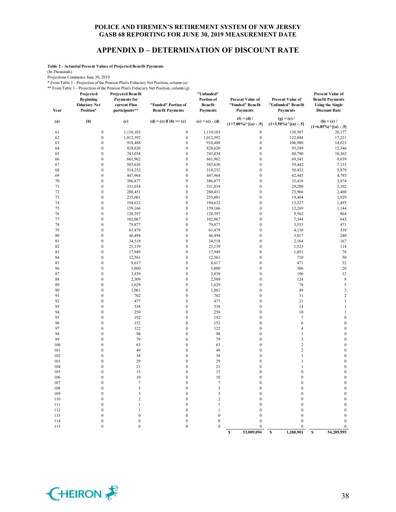#### **APPENDIX D – DETERMINATION OF DISCOUNT RATE**

**Table 2 - Actuarial Present Values of Projected Benefit Payments**

(In Thousands)

Projections Commence June 30, 2019

\* From Table 1 - Projection of the Pension Plan's Fiduciary Net Position, column (a)

|           | ** From Table 1 - Projection of the Pension Plan's Fiduciary Net Position, column (g) |  |
|-----------|---------------------------------------------------------------------------------------|--|
| Projected | <b>Projected Benefit</b>                                                              |  |

| Year       | Projected<br><b>Beginning</b><br><b>Fiduciary Net</b><br>Position* | <b>Projected Benefit</b><br><b>Payments for</b><br>current Plan<br>participants** | "Funded" Portion of<br><b>Benefit Payments</b> | "Unfunded"<br>Portion of<br><b>Benefit</b><br>Payments | <b>Present Value of</b><br>"Funded" Benefit<br><b>Payments</b> | <b>Present Value of</b><br>"Unfunded" Benefit<br><b>Payments</b> | <b>Present Value of</b><br><b>Benefit Payments</b><br><b>Using the Single</b><br><b>Discount Rate</b> |
|------------|--------------------------------------------------------------------|-----------------------------------------------------------------------------------|------------------------------------------------|--------------------------------------------------------|----------------------------------------------------------------|------------------------------------------------------------------|-------------------------------------------------------------------------------------------------------|
| (a)        | (b)                                                                | (c)                                                                               | (d) = (c) if (b) >= (c)                        | $(e) = (c) - (d)$                                      | $(f) = (d) /$<br>$(1+7.00\%)$ <sup>^</sup> [(a) - .5]          | $(g) = (e) /$<br>$(1+3.50\%)$ <sup>^</sup> [(a) - .5]            | $(h) = (c) /$                                                                                         |
|            | $\boldsymbol{0}$                                                   |                                                                                   |                                                |                                                        | $\boldsymbol{0}$                                               |                                                                  | $(1+6.85\%)$ <sup>^</sup> [(a) - .5]                                                                  |
| 61         | $\boldsymbol{0}$                                                   | 1,110,103                                                                         | $\boldsymbol{0}$<br>$\boldsymbol{0}$           | 1,110,103                                              | $\boldsymbol{0}$                                               | 138,507<br>122,044                                               | 20,177<br>17,221                                                                                      |
| 62         | $\boldsymbol{0}$                                                   | 1,012,392                                                                         | $\boldsymbol{0}$                               | 1,012,392                                              |                                                                |                                                                  |                                                                                                       |
| 63<br>64   | $\boldsymbol{0}$                                                   | 918,488<br>828,620                                                                | $\boldsymbol{0}$                               | 918,488<br>828,620                                     | $\boldsymbol{0}$<br>$\boldsymbol{0}$                           | 106,980<br>93,249                                                | 14,623<br>12,346                                                                                      |
| 65         | $\mathbf{0}$                                                       | 743,034                                                                           | $\boldsymbol{0}$                               | 743,034                                                | $\boldsymbol{0}$                                               | 80,790                                                           | 10,362                                                                                                |
| 66         | $\boldsymbol{0}$                                                   | 661,962                                                                           | $\boldsymbol{0}$                               | 661,962                                                | $\boldsymbol{0}$                                               | 69,541                                                           | 8,639                                                                                                 |
| 67         | $\mathbf{0}$                                                       | 585,636                                                                           | $\mathbf{0}$                                   | 585,636                                                | $\boldsymbol{0}$                                               | 59,442                                                           | 7,153                                                                                                 |
| 68         | $\mathbf{0}$                                                       | 514,252                                                                           | $\mathbf{0}$                                   | 514,252                                                | $\boldsymbol{0}$                                               | 50,432                                                           | 5,879                                                                                                 |
| 69         | $\boldsymbol{0}$                                                   | 447,964                                                                           | $\boldsymbol{0}$                               | 447,964                                                | $\boldsymbol{0}$                                               | 42,445                                                           | 4,793                                                                                                 |
| 70         | $\boldsymbol{0}$                                                   | 386,877                                                                           | $\boldsymbol{0}$                               | 386,877                                                | $\boldsymbol{0}$                                               | 35,418                                                           | 3,874                                                                                                 |
| 71         | $\boldsymbol{0}$                                                   | 331,034                                                                           | $\boldsymbol{0}$                               | 331,034                                                | $\boldsymbol{0}$                                               | 29,280                                                           | 3,102                                                                                                 |
| 72         | $\boldsymbol{0}$                                                   | 280,431                                                                           | $\boldsymbol{0}$                               | 280,431                                                | $\boldsymbol{0}$                                               | 23,966                                                           | 2,460                                                                                                 |
| 73         | $\mathbf{0}$                                                       | 235,001                                                                           | $\boldsymbol{0}$                               | 235,001                                                | $\boldsymbol{0}$                                               | 19,404                                                           | 1,929                                                                                                 |
| 74         | $\boldsymbol{0}$                                                   | 194,632                                                                           | $\mathbf{0}$                                   | 194,632                                                | $\boldsymbol{0}$                                               | 15,527                                                           | 1,495                                                                                                 |
| 75         | $\mathbf{0}$                                                       | 159,166                                                                           | $\boldsymbol{0}$                               | 159,166                                                | $\boldsymbol{0}$                                               | 12,269                                                           | 1,144                                                                                                 |
| 76         | $\mathbf{0}$                                                       | 128,397                                                                           | $\boldsymbol{0}$                               | 128,397                                                | $\boldsymbol{0}$                                               | 9,562                                                            | 864                                                                                                   |
| 77         | $\boldsymbol{0}$                                                   | 102,067                                                                           | $\boldsymbol{0}$                               | 102,067                                                | $\boldsymbol{0}$                                               | 7,344                                                            | 643                                                                                                   |
| 78         | $\mathbf{0}$                                                       | 79,877                                                                            | $\boldsymbol{0}$                               | 79,877                                                 | $\boldsymbol{0}$                                               | 5,553                                                            | 471                                                                                                   |
| 79         | $\boldsymbol{0}$                                                   | 61,479                                                                            | $\mathbf{0}$                                   | 61,479                                                 | $\boldsymbol{0}$                                               | 4,130                                                            | 339                                                                                                   |
| 80         | $\boldsymbol{0}$                                                   | 46,494                                                                            | $\mathbf{0}$                                   | 46,494                                                 | $\boldsymbol{0}$                                               | 3,017                                                            | 240                                                                                                   |
| 81         | $\boldsymbol{0}$                                                   | 34,518                                                                            | $\boldsymbol{0}$                               | 34,518                                                 | $\boldsymbol{0}$                                               | 2,164                                                            | 167                                                                                                   |
| 82         | $\mathbf{0}$                                                       | 25,139                                                                            | $\boldsymbol{0}$                               | 25,139                                                 | $\mathbf{0}$                                                   | 1,523                                                            | 114                                                                                                   |
| 83         | $\mathbf{0}$                                                       | 17,949                                                                            | $\mathbf{0}$                                   | 17,949                                                 | $\mathbf{0}$                                                   | 1,051                                                            | 76                                                                                                    |
| 84         | $\boldsymbol{0}$                                                   | 12,561                                                                            | $\boldsymbol{0}$                               | 12,561                                                 | $\boldsymbol{0}$                                               | 710                                                              | 50                                                                                                    |
| 85         | $\boldsymbol{0}$                                                   | 8,617                                                                             | $\boldsymbol{0}$                               | 8,617                                                  | $\mathbf{0}$                                                   | 471                                                              | 32                                                                                                    |
| 86         | $\boldsymbol{0}$                                                   | 5,800                                                                             | $\mathbf{0}$                                   | 5,800                                                  | $\mathbf{0}$                                                   | 306                                                              | 20                                                                                                    |
| 87         | $\boldsymbol{0}$                                                   | 3,839                                                                             | $\boldsymbol{0}$                               | 3,839                                                  | $\boldsymbol{0}$                                               | 196                                                              | 12                                                                                                    |
| 88<br>89   | $\mathbf{0}$<br>$\mathbf{0}$                                       | 2,509                                                                             | $\mathbf{0}$<br>$\mathbf{0}$                   | 2,509                                                  | $\mathbf{0}$<br>$\mathbf{0}$                                   | 124                                                              | $\,$ 8 $\,$<br>5                                                                                      |
| 90         | $\boldsymbol{0}$                                                   | 1,629<br>1,061                                                                    | $\mathbf{0}$                                   | 1,629<br>1,061                                         | $\mathbf{0}$                                                   | 78<br>49                                                         | $\overline{\mathbf{3}}$                                                                               |
| 91         | $\boldsymbol{0}$                                                   | 702                                                                               | $\boldsymbol{0}$                               | 702                                                    | $\boldsymbol{0}$                                               | 31                                                               | $\sqrt{2}$                                                                                            |
| 92         | $\mathbf{0}$                                                       | 477                                                                               | $\mathbf{0}$                                   | 477                                                    | $\mathbf{0}$                                                   | 21                                                               | $\,1\,$                                                                                               |
| 93         | $\boldsymbol{0}$                                                   | 338                                                                               | $\boldsymbol{0}$                               | 338                                                    | $\boldsymbol{0}$                                               | 14                                                               | $\,1\,$                                                                                               |
| 94         | $\mathbf{0}$                                                       | 250                                                                               | $\mathbf{0}$                                   | 250                                                    | $\mathbf{0}$                                                   | 10                                                               | $\mathbf{1}$                                                                                          |
| 95         | $\mathbf{0}$                                                       | 192                                                                               | $\boldsymbol{0}$                               | 192                                                    | $\mathbf{0}$                                                   | $\tau$                                                           | $\boldsymbol{0}$                                                                                      |
| 96         | $\overline{0}$                                                     | 152                                                                               | $\mathbf{0}$                                   | 152                                                    | $\mathbf{0}$                                                   | 6                                                                | $\boldsymbol{0}$                                                                                      |
| 97         | $\mathbf{0}$                                                       | 122                                                                               | $\mathbf{0}$                                   | 122                                                    | $\mathbf{0}$                                                   | $\overline{4}$                                                   | $\boldsymbol{0}$                                                                                      |
| 98         | $\boldsymbol{0}$                                                   | 98                                                                                | $\overline{0}$                                 | 98                                                     | $\mathbf{0}$                                                   | $\overline{\mathbf{3}}$                                          | $\boldsymbol{0}$                                                                                      |
| 99         | $\boldsymbol{0}$                                                   | 79                                                                                | $\boldsymbol{0}$                               | 79                                                     | $\boldsymbol{0}$                                               | $\overline{\mathbf{3}}$                                          | $\boldsymbol{0}$                                                                                      |
| 100        | $\boldsymbol{0}$                                                   | 63                                                                                | $\mathbf{0}$                                   | 63                                                     | $\boldsymbol{0}$                                               | $\overline{c}$                                                   | $\boldsymbol{0}$                                                                                      |
| 101        | $\overline{0}$                                                     | 49                                                                                | $\mathbf{0}$                                   | 49                                                     | $\mathbf{0}$                                                   | $\overline{c}$                                                   | $\boldsymbol{0}$                                                                                      |
| 102        | $\overline{0}$                                                     | 38                                                                                | $\mathbf{0}$                                   | 38                                                     | $\mathbf{0}$                                                   | $\mathbf{1}$                                                     | $\boldsymbol{0}$                                                                                      |
| 103        | $\mathbf{0}$                                                       | 29                                                                                | $\mathbf{0}$                                   | 29                                                     | $\boldsymbol{0}$                                               | $\,1$                                                            | $\boldsymbol{0}$                                                                                      |
| 104        | $\boldsymbol{0}$                                                   | 21                                                                                | $\mathbf{0}$                                   | 21                                                     | $\boldsymbol{0}$                                               | $\mathbf{1}$                                                     | $\mathbf{0}$                                                                                          |
| 105        | $\boldsymbol{0}$                                                   | 15                                                                                | $\boldsymbol{0}$                               | 15                                                     | $\boldsymbol{0}$                                               | $\boldsymbol{0}$                                                 | $\boldsymbol{0}$                                                                                      |
| 106<br>107 | $\mathbf{0}$<br>$\mathbf{0}$                                       | 10<br>$\tau$                                                                      | $\boldsymbol{0}$<br>$\boldsymbol{0}$           | 10<br>$\tau$                                           | $\boldsymbol{0}$<br>$\boldsymbol{0}$                           | $\boldsymbol{0}$<br>$\boldsymbol{0}$                             | $\boldsymbol{0}$<br>$\boldsymbol{0}$                                                                  |
| 108        | $\mathbf{0}$                                                       | 5                                                                                 | $\mathbf{0}$                                   | 5                                                      | $\mathbf{0}$                                                   | $\mathbf{0}$                                                     | $\boldsymbol{0}$                                                                                      |
| 109        | $\mathbf{0}$                                                       | 3                                                                                 | $\mathbf{0}$                                   | $\overline{\mathbf{3}}$                                | $\boldsymbol{0}$                                               | $\boldsymbol{0}$                                                 | $\boldsymbol{0}$                                                                                      |
| 110        | $\overline{0}$                                                     | $\overline{c}$                                                                    | $\mathbf{0}$                                   | $\sqrt{2}$                                             | $\mathbf{0}$                                                   | $\mathbf{0}$                                                     | $\boldsymbol{0}$                                                                                      |
| 111        | $\boldsymbol{0}$                                                   | $\,1\,$                                                                           | $\mathbf{0}$                                   | $\,1\,$                                                | $\boldsymbol{0}$                                               | $\boldsymbol{0}$                                                 | $\boldsymbol{0}$                                                                                      |
| 112        | $\mathbf{0}$                                                       | $\,1$                                                                             | $\boldsymbol{0}$                               | $\mathbf{1}$                                           | $\boldsymbol{0}$                                               | $\overline{0}$                                                   | $\boldsymbol{0}$                                                                                      |
| 113        | $\mathbf{0}$                                                       | $\boldsymbol{0}$                                                                  | $\boldsymbol{0}$                               | $\boldsymbol{0}$                                       | $\mathbf{0}$                                                   | $\boldsymbol{0}$                                                 | $\boldsymbol{0}$                                                                                      |
| 114        | $\mathbf{0}$                                                       | $\mathbf{0}$                                                                      | $\mathbf{0}$                                   | $\mathbf{0}$                                           | $\boldsymbol{0}$                                               | $\boldsymbol{0}$                                                 | $\boldsymbol{0}$                                                                                      |
| 115        | $\theta$                                                           | $\theta$                                                                          | $\mathbf{0}$                                   | $\theta$                                               | $\theta$                                                       | $\theta$                                                         | $\mathbf{0}$                                                                                          |

**\$ 53,009,094 \$ 1,280,901 \$ 54,289,995**

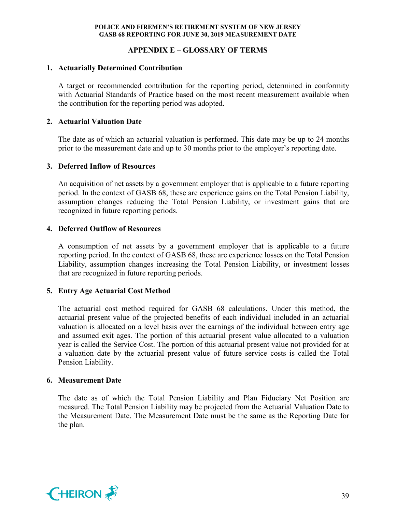# **APPENDIX E – GLOSSARY OF TERMS**

# **1. Actuarially Determined Contribution**

A target or recommended contribution for the reporting period, determined in conformity with Actuarial Standards of Practice based on the most recent measurement available when the contribution for the reporting period was adopted.

# **2. Actuarial Valuation Date**

The date as of which an actuarial valuation is performed. This date may be up to 24 months prior to the measurement date and up to 30 months prior to the employer's reporting date.

#### **3. Deferred Inflow of Resources**

An acquisition of net assets by a government employer that is applicable to a future reporting period. In the context of GASB 68, these are experience gains on the Total Pension Liability, assumption changes reducing the Total Pension Liability, or investment gains that are recognized in future reporting periods.

# **4. Deferred Outflow of Resources**

A consumption of net assets by a government employer that is applicable to a future reporting period. In the context of GASB 68, these are experience losses on the Total Pension Liability, assumption changes increasing the Total Pension Liability, or investment losses that are recognized in future reporting periods.

#### **5. Entry Age Actuarial Cost Method**

The actuarial cost method required for GASB 68 calculations. Under this method, the actuarial present value of the projected benefits of each individual included in an actuarial valuation is allocated on a level basis over the earnings of the individual between entry age and assumed exit ages. The portion of this actuarial present value allocated to a valuation year is called the Service Cost. The portion of this actuarial present value not provided for at a valuation date by the actuarial present value of future service costs is called the Total Pension Liability.

#### **6. Measurement Date**

The date as of which the Total Pension Liability and Plan Fiduciary Net Position are measured. The Total Pension Liability may be projected from the Actuarial Valuation Date to the Measurement Date. The Measurement Date must be the same as the Reporting Date for the plan.